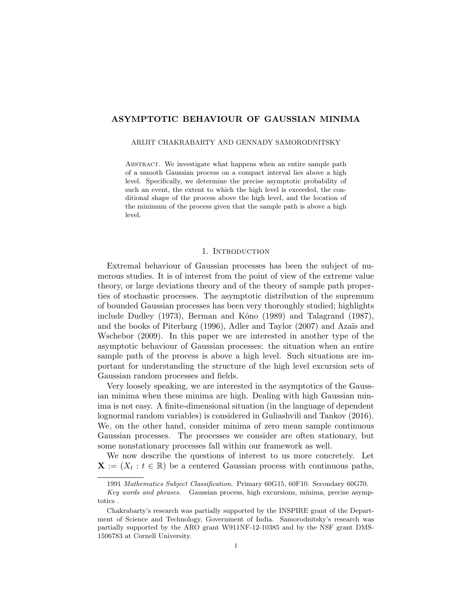# ASYMPTOTIC BEHAVIOUR OF GAUSSIAN MINIMA

#### ARIJIT CHAKRABARTY AND GENNADY SAMORODNITSKY

ABSTRACT. We investigate what happens when an entire sample path of a smooth Gaussian process on a compact interval lies above a high level. Specifically, we determine the precise asymptotic probability of such an event, the extent to which the high level is exceeded, the conditional shape of the process above the high level, and the location of the minimum of the process given that the sample path is above a high level.

### 1. Introduction

Extremal behaviour of Gaussian processes has been the subject of numerous studies. It is of interest from the point of view of the extreme value theory, or large deviations theory and of the theory of sample path properties of stochastic processes. The asymptotic distribution of the supremum of bounded Gaussian processes has been very thoroughly studied; highlights include Dudley  $(1973)$ , Berman and Kôno  $(1989)$  and Talagrand  $(1987)$ , and the books of Piterbarg  $(1996)$ , Adler and Taylor  $(2007)$  and Azaïs and Wschebor (2009). In this paper we are interested in another type of the asymptotic behaviour of Gaussian processes: the situation when an entire sample path of the process is above a high level. Such situations are important for understanding the structure of the high level excursion sets of Gaussian random processes and fields.

Very loosely speaking, we are interested in the asymptotics of the Gaussian minima when these minima are high. Dealing with high Gaussian minima is not easy. A finite-dimensional situation (in the language of dependent lognormal random variables) is considered in Guliashvili and Tankov (2016). We, on the other hand, consider minima of zero mean sample continuous Gaussian processes. The processes we consider are often stationary, but some nonstationary processes fall within our framework as well.

We now describe the questions of interest to us more concretely. Let  $\mathbf{X} := (X_t : t \in \mathbb{R})$  be a centered Gaussian process with continuous paths,

<sup>1991</sup> Mathematics Subject Classification. Primary 60G15, 60F10. Secondary 60G70.

Key words and phrases. Gaussian process, high excursions, minima, precise asymptotics .

Chakrabarty's research was partially supported by the INSPIRE grant of the Department of Science and Technology, Government of India. Samorodnitsky's research was partially supported by the ARO grant W911NF-12-10385 and by the NSF grant DMS-1506783 at Cornell University.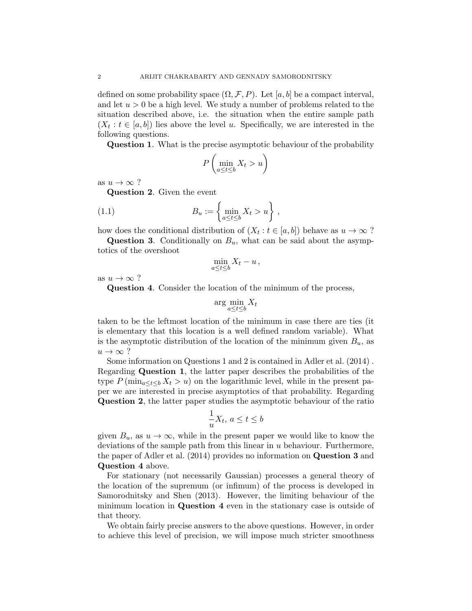defined on some probability space  $(\Omega, \mathcal{F}, P)$ . Let  $[a, b]$  be a compact interval, and let  $u > 0$  be a high level. We study a number of problems related to the situation described above, i.e. the situation when the entire sample path  $(X_t : t \in [a, b])$  lies above the level u. Specifically, we are interested in the following questions.

Question 1. What is the precise asymptotic behaviour of the probability

$$
P\left(\min_{a\leq t\leq b} X_t > u\right)
$$

as  $u \to \infty$  ?

Question 2. Given the event

(1.1) 
$$
B_u := \left\{ \min_{a \le t \le b} X_t > u \right\},
$$

how does the conditional distribution of  $(X_t : t \in [a, b])$  behave as  $u \to \infty$ ?

**Question 3.** Conditionally on  $B_u$ , what can be said about the asymptotics of the overshoot

$$
\min_{a\leq t\leq b}X_t-u\,,
$$

as  $u \to \infty$ ?

Question 4. Consider the location of the minimum of the process,

$$
\arg\min_{a\leq t\leq b} X_t
$$

taken to be the leftmost location of the minimum in case there are ties (it is elementary that this location is a well defined random variable). What is the asymptotic distribution of the location of the minimum given  $B_u$ , as  $u \to \infty$ ?

Some information on Questions 1 and 2 is contained in Adler et al. (2014) . Regarding Question 1, the latter paper describes the probabilities of the type  $P(\min_{a \le t \le b} X_t > u)$  on the logarithmic level, while in the present paper we are interested in precise asymptotics of that probability. Regarding Question 2, the latter paper studies the asymptotic behaviour of the ratio

$$
\frac{1}{u}X_t, \, a \le t \le b
$$

given  $B_u$ , as  $u \to \infty$ , while in the present paper we would like to know the deviations of the sample path from this linear in u behaviour. Furthermore, the paper of Adler et al. (2014) provides no information on Question 3 and Question 4 above.

For stationary (not necessarily Gaussian) processes a general theory of the location of the supremum (or infimum) of the process is developed in Samorodnitsky and Shen (2013). However, the limiting behaviour of the minimum location in Question 4 even in the stationary case is outside of that theory.

We obtain fairly precise answers to the above questions. However, in order to achieve this level of precision, we will impose much stricter smoothness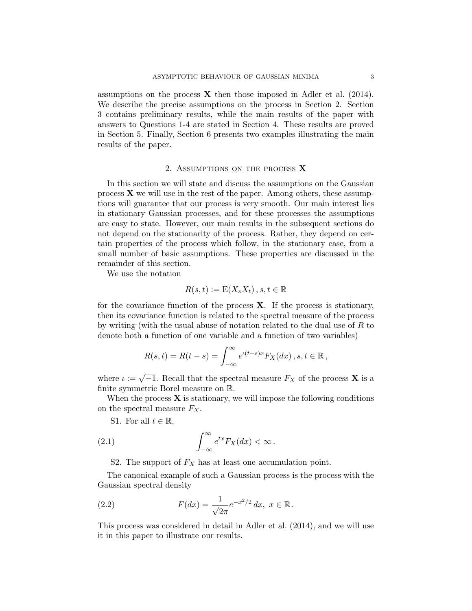assumptions on the process  $\bf{X}$  then those imposed in Adler et al. (2014). We describe the precise assumptions on the process in Section 2. Section 3 contains preliminary results, while the main results of the paper with answers to Questions 1-4 are stated in Section 4. These results are proved in Section 5. Finally, Section 6 presents two examples illustrating the main results of the paper.

### 2. Assumptions on the process X

In this section we will state and discuss the assumptions on the Gaussian process  $X$  we will use in the rest of the paper. Among others, these assumptions will guarantee that our process is very smooth. Our main interest lies in stationary Gaussian processes, and for these processes the assumptions are easy to state. However, our main results in the subsequent sections do not depend on the stationarity of the process. Rather, they depend on certain properties of the process which follow, in the stationary case, from a small number of basic assumptions. These properties are discussed in the remainder of this section.

We use the notation

$$
R(s,t) := \mathcal{E}(X_s X_t), s, t \in \mathbb{R}
$$

for the covariance function of the process  $X$ . If the process is stationary, then its covariance function is related to the spectral measure of the process by writing (with the usual abuse of notation related to the dual use of R to denote both a function of one variable and a function of two variables)

$$
R(s,t) = R(t-s) = \int_{-\infty}^{\infty} e^{t(t-s)x} F_X(dx) , s, t \in \mathbb{R} ,
$$

where  $\iota := \sqrt{-1}$ . Recall that the spectral measure  $F_X$  of the process **X** is a finite symmetric Borel measure on R.

When the process  $X$  is stationary, we will impose the following conditions on the spectral measure  $F_X$ .

S1. For all  $t \in \mathbb{R}$ ,

(2.1) 
$$
\int_{-\infty}^{\infty} e^{tx} F_X(dx) < \infty.
$$

S2. The support of  $F_X$  has at least one accumulation point.

The canonical example of such a Gaussian process is the process with the Gaussian spectral density

(2.2) 
$$
F(dx) = \frac{1}{\sqrt{2\pi}} e^{-x^2/2} dx, \ x \in \mathbb{R}.
$$

This process was considered in detail in Adler et al. (2014), and we will use it in this paper to illustrate our results.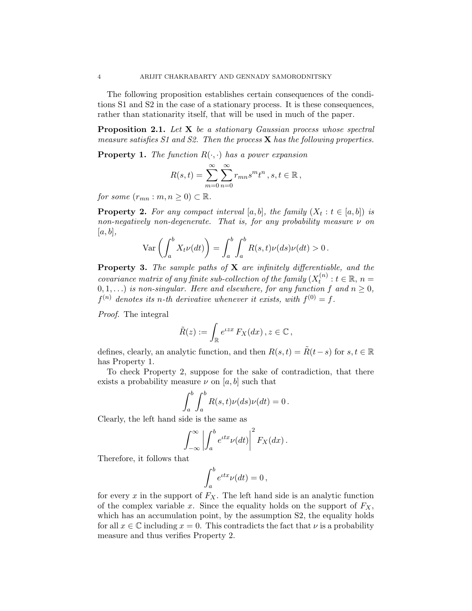The following proposition establishes certain consequences of the conditions S1 and S2 in the case of a stationary process. It is these consequences, rather than stationarity itself, that will be used in much of the paper.

**Proposition 2.1.** Let  $X$  be a stationary Gaussian process whose spectral measure satisfies  $S1$  and  $S2$ . Then the process **X** has the following properties.

**Property 1.** The function  $R(\cdot, \cdot)$  has a power expansion

$$
R(s,t) = \sum_{m=0}^{\infty} \sum_{n=0}^{\infty} r_{mn} s^m t^n , s, t \in \mathbb{R},
$$

for some  $(r_{mn}:m, n \geq 0) \subset \mathbb{R}$ .

**Property 2.** For any compact interval  $[a, b]$ , the family  $(X_t : t \in [a, b])$  is non-negatively non-degenerate. That is, for any probability measure  $\nu$  on  $|a, b|,$ 

$$
\operatorname{Var}\left(\int_a^b X_t \nu(dt)\right) = \int_a^b \int_a^b R(s,t)\nu(ds)\nu(dt) > 0.
$$

Property 3. The sample paths of X are infinitely differentiable, and the covariance matrix of any finite sub-collection of the family  $(X_t^{(n)})$  $t_t^{(n)}: t \in \mathbb{R}, n =$  $(0,1,\ldots)$  is non-singular. Here and elsewhere, for any function f and  $n\geq 0$ ,  $f^{(n)}$  denotes its n-th derivative whenever it exists, with  $f^{(0)} = f$ .

Proof. The integral

$$
\tilde{R}(z) := \int_{\mathbb{R}} e^{\iota z x} F_X(dx) , z \in \mathbb{C} ,
$$

defines, clearly, an analytic function, and then  $R(s,t) = \tilde{R}(t-s)$  for  $s, t \in \mathbb{R}$ has Property 1.

To check Property 2, suppose for the sake of contradiction, that there exists a probability measure  $\nu$  on [a, b] such that

$$
\int_a^b \int_a^b R(s,t)\nu(ds)\nu(dt) = 0.
$$

Clearly, the left hand side is the same as

$$
\int_{-\infty}^{\infty} \left| \int_{a}^{b} e^{itx} \nu(dt) \right|^{2} F_{X}(dx).
$$

Therefore, it follows that

$$
\int_a^b e^{itx}\nu(dt) = 0,
$$

for every  $x$  in the support of  $F_X$ . The left hand side is an analytic function of the complex variable x. Since the equality holds on the support of  $F_X$ , which has an accumulation point, by the assumption S2, the equality holds for all  $x \in \mathbb{C}$  including  $x = 0$ . This contradicts the fact that  $\nu$  is a probability measure and thus verifies Property 2.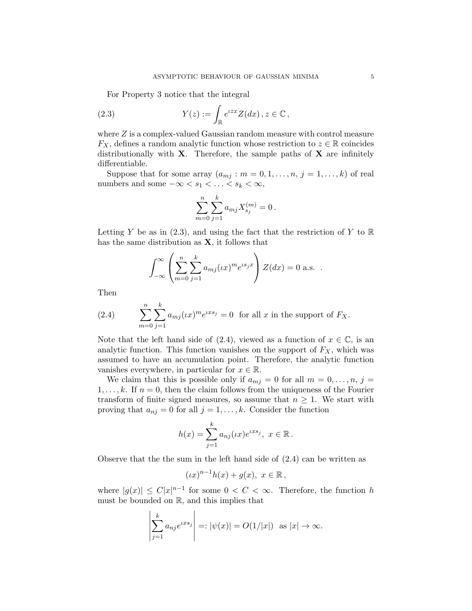For Property 3 notice that the integral

(2.3) 
$$
Y(z) := \int_{\mathbb{R}} e^{izx} Z(dx), z \in \mathbb{C},
$$

where Z is a complex-valued Gaussian random measure with control measure  $F_X$ , defines a random analytic function whose restriction to  $z \in \mathbb{R}$  coincides distributionally with  $X$ . Therefore, the sample paths of  $X$  are infinitely differentiable.

Suppose that for some array  $(a_{mj}: m = 0, 1, \ldots, n, j = 1, \ldots, k)$  of real numbers and some  $-\infty < s_1 < \ldots < s_k < \infty$ ,

$$
\sum_{m=0}^{n}\sum_{j=1}^{k}a_{mj}X_{s_j}^{(m)}=0\,.
$$

Letting Y be as in  $(2.3)$ , and using the fact that the restriction of Y to R has the same distribution as  $X$ , it follows that

$$
\int_{-\infty}^{\infty} \left( \sum_{m=0}^{n} \sum_{j=1}^{k} a_{mj} (\iota x)^m e^{is_j x} \right) Z(dx) = 0 \text{ a.s.} .
$$

Then

(2.4) 
$$
\sum_{m=0}^{n} \sum_{j=1}^{k} a_{mj} (\iota x)^m e^{\iota x s_j} = 0 \text{ for all } x \text{ in the support of } F_X.
$$

Note that the left hand side of (2.4), viewed as a function of  $x \in \mathbb{C}$ , is an analytic function. This function vanishes on the support of  $F_X$ , which was assumed to have an accumulation point. Therefore, the analytic function vanishes everywhere, in particular for  $x \in \mathbb{R}$ .

We claim that this is possible only if  $a_{mj} = 0$  for all  $m = 0, \ldots, n, j =$  $1, \ldots, k$ . If  $n = 0$ , then the claim follows from the uniqueness of the Fourier transform of finite signed measures, so assume that  $n \geq 1$ . We start with proving that  $a_{nj} = 0$  for all  $j = 1, ..., k$ . Consider the function

$$
h(x) = \sum_{j=1}^{k} a_{nj}(\iota x) e^{\iota x s_j}, \ x \in \mathbb{R}.
$$

Observe that the the sum in the left hand side of (2.4) can be written as

$$
(\iota x)^{n-1}h(x)+g(x), x \in \mathbb{R},
$$

where  $|g(x)| \leq C|x|^{n-1}$  for some  $0 < C < \infty$ . Therefore, the function h must be bounded on R, and this implies that

$$
\left|\sum_{j=1}^k a_{nj}e^{\iota xs_j}\right| =: |\psi(x)| = O(1/|x|) \text{ as } |x| \to \infty.
$$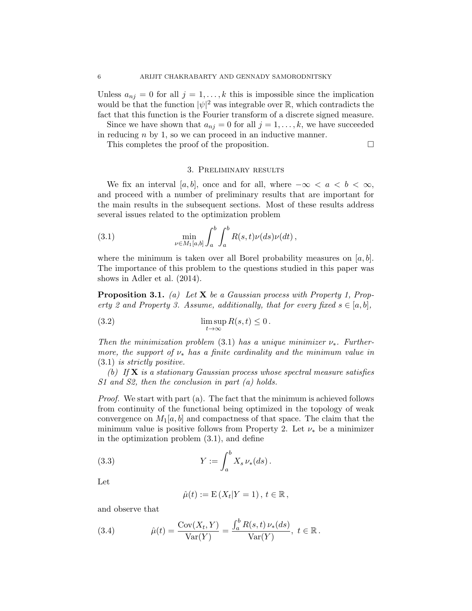Unless  $a_{ni} = 0$  for all  $j = 1, ..., k$  this is impossible since the implication would be that the function  $|\psi|^2$  was integrable over  $\mathbb{R}$ , which contradicts the fact that this function is the Fourier transform of a discrete signed measure.

Since we have shown that  $a_{ni} = 0$  for all  $j = 1, \ldots, k$ , we have succeeded in reducing  $n$  by 1, so we can proceed in an inductive manner.

This completes the proof of the proposition.

## 3. Preliminary results

We fix an interval [a, b], once and for all, where  $-\infty < a < b < \infty$ , and proceed with a number of preliminary results that are important for the main results in the subsequent sections. Most of these results address several issues related to the optimization problem

(3.1) 
$$
\min_{\nu \in M_1[a,b]} \int_a^b \int_a^b R(s,t)\nu(ds)\nu(dt),
$$

where the minimum is taken over all Borel probability measures on  $[a, b]$ . The importance of this problem to the questions studied in this paper was shows in Adler et al. (2014).

**Proposition 3.1.** (a) Let **X** be a Gaussian process with Property 1, Property 2 and Property 3. Assume, additionally, that for every fixed  $s \in [a, b]$ ,

(3.2) 
$$
\limsup_{t \to \infty} R(s,t) \leq 0.
$$

Then the minimization problem (3.1) has a unique minimizer  $\nu_*$ . Furthermore, the support of  $\nu_{*}$  has a finite cardinality and the minimum value in (3.1) is strictly positive.

(b) If  $X$  is a stationary Gaussian process whose spectral measure satisfies S1 and S2, then the conclusion in part (a) holds.

Proof. We start with part (a). The fact that the minimum is achieved follows from continuity of the functional being optimized in the topology of weak convergence on  $M_1[a, b]$  and compactness of that space. The claim that the minimum value is positive follows from Property 2. Let  $\nu_*$  be a minimizer in the optimization problem (3.1), and define

(3.3) 
$$
Y := \int_{a}^{b} X_{s} \nu_{*}(ds).
$$

Let

$$
\hat{\mu}(t) := \mathbf{E}\left(X_t|Y=1\right), \, t \in \mathbb{R},
$$

and observe that

(3.4) 
$$
\hat{\mu}(t) = \frac{\text{Cov}(X_t, Y)}{\text{Var}(Y)} = \frac{\int_a^b R(s, t) \, \nu_*(ds)}{\text{Var}(Y)}, \ t \in \mathbb{R}.
$$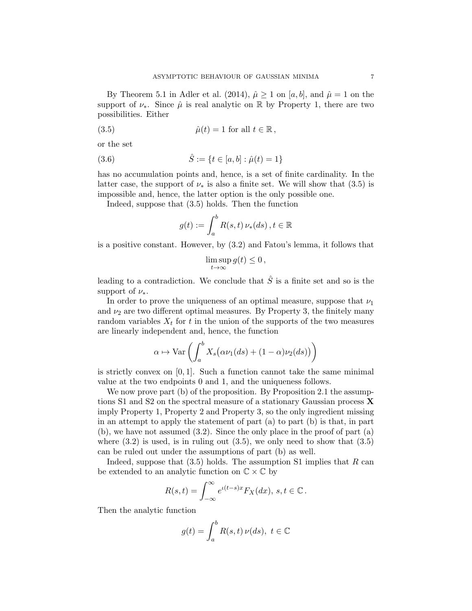By Theorem 5.1 in Adler et al. (2014),  $\hat{\mu} \ge 1$  on [a, b], and  $\hat{\mu} = 1$  on the support of  $\nu_*$ . Since  $\hat{\mu}$  is real analytic on R by Property 1, there are two possibilities. Either

(3.5) 
$$
\hat{\mu}(t) = 1 \text{ for all } t \in \mathbb{R},
$$

or the set

(3.6) 
$$
\hat{S} := \{ t \in [a, b] : \hat{\mu}(t) = 1 \}
$$

has no accumulation points and, hence, is a set of finite cardinality. In the latter case, the support of  $\nu_*$  is also a finite set. We will show that (3.5) is impossible and, hence, the latter option is the only possible one.

Indeed, suppose that (3.5) holds. Then the function

$$
g(t) := \int_a^b R(s, t) \, \nu_*(ds), t \in \mathbb{R}
$$

is a positive constant. However, by (3.2) and Fatou's lemma, it follows that

$$
\limsup_{t\to\infty}g(t)\leq 0\,,
$$

leading to a contradiction. We conclude that  $\hat{S}$  is a finite set and so is the support of  $\nu_{*}$ .

In order to prove the uniqueness of an optimal measure, suppose that  $\nu_1$ and  $\nu_2$  are two different optimal measures. By Property 3, the finitely many random variables  $X_t$  for t in the union of the supports of the two measures are linearly independent and, hence, the function

$$
\alpha \mapsto \text{Var}\left(\int_a^b X_s\big(\alpha\nu_1(ds) + (1-\alpha)\nu_2(ds)\big)\right)
$$

is strictly convex on  $[0, 1]$ . Such a function cannot take the same minimal value at the two endpoints 0 and 1, and the uniqueness follows.

We now prove part (b) of the proposition. By Proposition 2.1 the assumptions S1 and S2 on the spectral measure of a stationary Gaussian process X imply Property 1, Property 2 and Property 3, so the only ingredient missing in an attempt to apply the statement of part (a) to part (b) is that, in part (b), we have not assumed (3.2). Since the only place in the proof of part (a) where  $(3.2)$  is used, is in ruling out  $(3.5)$ , we only need to show that  $(3.5)$ can be ruled out under the assumptions of part (b) as well.

Indeed, suppose that  $(3.5)$  holds. The assumption S1 implies that R can be extended to an analytic function on  $\mathbb{C} \times \mathbb{C}$  by

$$
R(s,t) = \int_{-\infty}^{\infty} e^{i(t-s)x} F_X(dx), \, s, t \in \mathbb{C}.
$$

Then the analytic function

$$
g(t) = \int_{a}^{b} R(s, t) \nu(ds), \ t \in \mathbb{C}
$$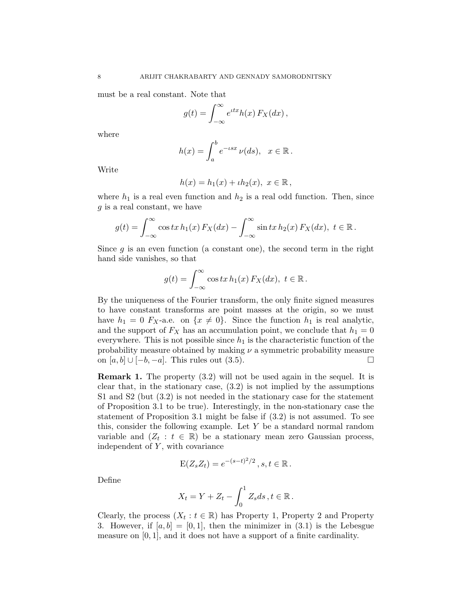must be a real constant. Note that

$$
g(t) = \int_{-\infty}^{\infty} e^{itx} h(x) F_X(dx),
$$

where

$$
h(x) = \int_a^b e^{-\iota sx} \nu(ds), \quad x \in \mathbb{R}.
$$

Write

$$
h(x) = h_1(x) + \iota h_2(x), \ x \in \mathbb{R},
$$

where  $h_1$  is a real even function and  $h_2$  is a real odd function. Then, since  $g$  is a real constant, we have

$$
g(t) = \int_{-\infty}^{\infty} \cos tx \, h_1(x) \, F_X(dx) - \int_{-\infty}^{\infty} \sin tx \, h_2(x) \, F_X(dx), \ t \in \mathbb{R}.
$$

Since  $g$  is an even function (a constant one), the second term in the right hand side vanishes, so that

$$
g(t) = \int_{-\infty}^{\infty} \cos tx \, h_1(x) \, F_X(dx), \ t \in \mathbb{R} \, .
$$

By the uniqueness of the Fourier transform, the only finite signed measures to have constant transforms are point masses at the origin, so we must have  $h_1 = 0$  F<sub>X</sub>-a.e. on  $\{x \neq 0\}$ . Since the function  $h_1$  is real analytic, and the support of  $F_X$  has an accumulation point, we conclude that  $h_1 = 0$ everywhere. This is not possible since  $h_1$  is the characteristic function of the probability measure obtained by making  $\nu$  a symmetric probability measure on  $[a, b]$  ∪  $[-b, -a]$ . This rules out  $(3.5)$ .

Remark 1. The property (3.2) will not be used again in the sequel. It is clear that, in the stationary case, (3.2) is not implied by the assumptions S1 and S2 (but (3.2) is not needed in the stationary case for the statement of Proposition 3.1 to be true). Interestingly, in the non-stationary case the statement of Proposition 3.1 might be false if (3.2) is not assumed. To see this, consider the following example. Let Y be a standard normal random variable and  $(Z_t : t \in \mathbb{R})$  be a stationary mean zero Gaussian process, independent of  $Y$ , with covariance

$$
E(Z_s Z_t) = e^{-(s-t)^2/2}, s, t \in \mathbb{R}.
$$

Define

$$
X_t = Y + Z_t - \int_0^1 Z_s ds, t \in \mathbb{R}.
$$

Clearly, the process  $(X_t : t \in \mathbb{R})$  has Property 1, Property 2 and Property 3. However, if  $[a, b] = [0, 1]$ , then the minimizer in  $(3.1)$  is the Lebesgue measure on [0, 1], and it does not have a support of a finite cardinality.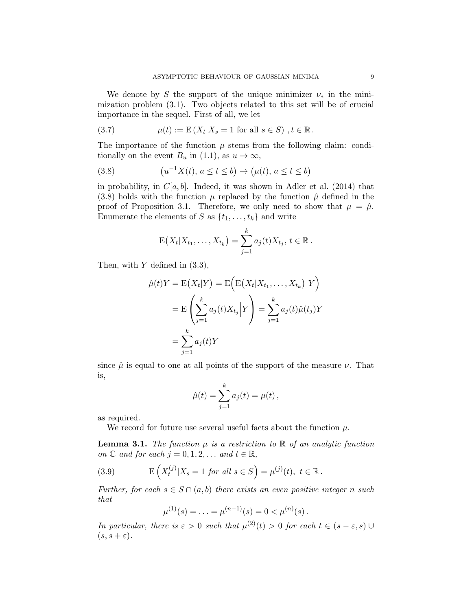We denote by S the support of the unique minimizer  $\nu_*$  in the minimization problem (3.1). Two objects related to this set will be of crucial importance in the sequel. First of all, we let

(3.7) 
$$
\mu(t) := E(X_t | X_s = 1 \text{ for all } s \in S), t \in \mathbb{R}.
$$

The importance of the function  $\mu$  stems from the following claim: conditionally on the event  $B_u$  in (1.1), as  $u \to \infty$ ,

(3.8) 
$$
(u^{-1}X(t), a \le t \le b) \to (\mu(t), a \le t \le b)
$$

in probability, in  $C[a, b]$ . Indeed, it was shown in Adler et al. (2014) that (3.8) holds with the function  $\mu$  replaced by the function  $\hat{\mu}$  defined in the proof of Proposition 3.1. Therefore, we only need to show that  $\mu = \hat{\mu}$ . Enumerate the elements of S as  $\{t_1, \ldots, t_k\}$  and write

$$
E(X_t|X_{t_1},...,X_{t_k}) = \sum_{j=1}^k a_j(t)X_{t_j}, t \in \mathbb{R}.
$$

Then, with  $Y$  defined in  $(3.3)$ ,

$$
\hat{\mu}(t)Y = \mathcal{E}(X_t|Y) = \mathcal{E}\Big(\mathcal{E}(X_t|X_{t_1},\ldots,X_{t_k})\big|Y\Big)
$$

$$
= \mathcal{E}\left(\sum_{j=1}^k a_j(t)X_{t_j}\Big|Y\right) = \sum_{j=1}^k a_j(t)\hat{\mu}(t_j)Y
$$

$$
= \sum_{j=1}^k a_j(t)Y
$$

since  $\hat{\mu}$  is equal to one at all points of the support of the measure  $\nu$ . That is,

$$
\hat{\mu}(t) = \sum_{j=1}^{k} a_j(t) = \mu(t),
$$

as required.

We record for future use several useful facts about the function  $\mu$ .

**Lemma 3.1.** The function  $\mu$  is a restriction to R of an analytic function on  $\mathbb C$  and for each  $j = 0, 1, 2, \ldots$  and  $t \in \mathbb R$ ,

(3.9) 
$$
E\left(X_t^{(j)}|X_s = 1 \text{ for all } s \in S\right) = \mu^{(j)}(t), \ t \in \mathbb{R}.
$$

Further, for each  $s \in S \cap (a, b)$  there exists an even positive integer n such that

$$
\mu^{(1)}(s) = \ldots = \mu^{(n-1)}(s) = 0 < \mu^{(n)}(s) \, .
$$

In particular, there is  $\varepsilon > 0$  such that  $\mu^{(2)}(t) > 0$  for each  $t \in (s - \varepsilon, s) \cup$  $(s, s + \varepsilon).$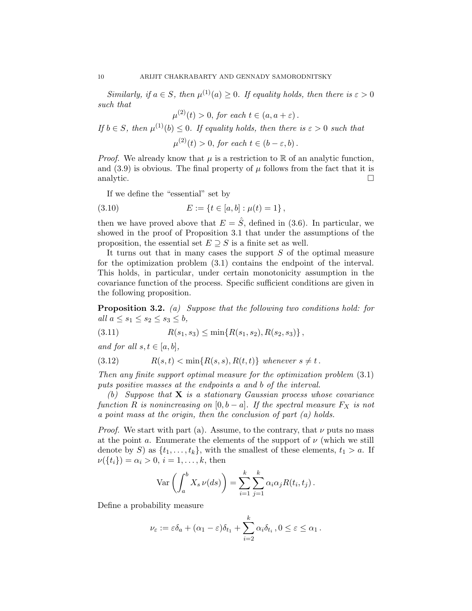Similarly, if  $a \in S$ , then  $\mu^{(1)}(a) \geq 0$ . If equality holds, then there is  $\varepsilon > 0$ such that

 $\mu^{(2)}(t) > 0$ , for each  $t \in (a, a + \varepsilon)$ .

If  $b \in S$ , then  $\mu^{(1)}(b) \leq 0$ . If equality holds, then there is  $\varepsilon > 0$  such that  $\mu^{(2)}(t) > 0$ , for each  $t \in (b - \varepsilon, b)$ .

*Proof.* We already know that  $\mu$  is a restriction to R of an analytic function, and (3.9) is obvious. The final property of  $\mu$  follows from the fact that it is analytic.

If we define the "essential" set by

(3.10) 
$$
E := \{t \in [a, b] : \mu(t) = 1\},\
$$

then we have proved above that  $E = \hat{S}$ , defined in (3.6). In particular, we showed in the proof of Proposition 3.1 that under the assumptions of the proposition, the essential set  $E \supseteq S$  is a finite set as well.

It turns out that in many cases the support S of the optimal measure for the optimization problem (3.1) contains the endpoint of the interval. This holds, in particular, under certain monotonicity assumption in the covariance function of the process. Specific sufficient conditions are given in the following proposition.

**Proposition 3.2.** (a) Suppose that the following two conditions hold: for all  $a \leq s_1 \leq s_2 \leq s_3 \leq b$ ,

$$
(3.11) \t R(s1, s3) \le \min\{R(s1, s2), R(s2, s3)\},
$$

and for all  $s, t \in [a, b],$ 

$$
(3.12) \t R(s,t) < \min\{R(s,s), R(t,t)\} \text{ whenever } s \neq t.
$$

Then any finite support optimal measure for the optimization problem (3.1) puts positive masses at the endpoints a and b of the interval.

(b) Suppose that  $X$  is a stationary Gaussian process whose covariance function R is nonincreasing on  $[0, b - a]$ . If the spectral measure  $F_X$  is not a point mass at the origin, then the conclusion of part (a) holds.

*Proof.* We start with part (a). Assume, to the contrary, that  $\nu$  puts no mass at the point a. Enumerate the elements of the support of  $\nu$  (which we still denote by S) as  $\{t_1, \ldots, t_k\}$ , with the smallest of these elements,  $t_1 > a$ . If  $\nu({t_i}) = \alpha_i > 0, i = 1, \ldots, k$ , then

$$
\operatorname{Var}\left(\int_a^b X_s \nu(ds)\right) = \sum_{i=1}^k \sum_{j=1}^k \alpha_i \alpha_j R(t_i, t_j).
$$

Define a probability measure

$$
\nu_{\varepsilon} := \varepsilon \delta_a + (\alpha_1 - \varepsilon) \delta_{t_1} + \sum_{i=2}^k \alpha_i \delta_{t_i}, 0 \le \varepsilon \le \alpha_1.
$$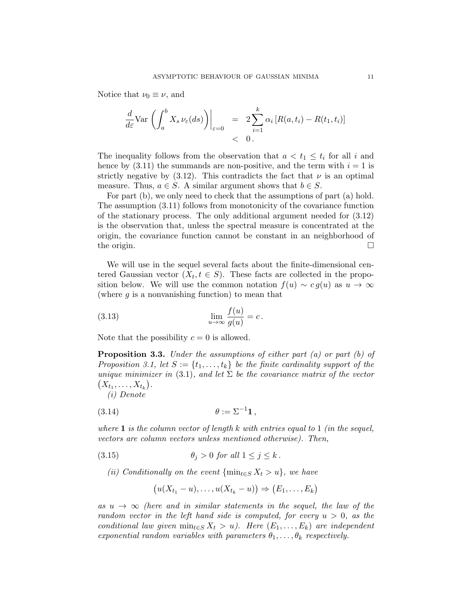Notice that  $\nu_0 \equiv \nu$ , and

$$
\frac{d}{d\varepsilon} \text{Var}\left(\int_a^b X_s \nu_{\varepsilon}(ds)\right)\Big|_{\varepsilon=0} = 2 \sum_{i=1}^k \alpha_i \left[R(a, t_i) - R(t_1, t_i)\right] \n< 0.
$$

The inequality follows from the observation that  $a < t_1 \leq t_i$  for all i and hence by  $(3.11)$  the summands are non-positive, and the term with  $i = 1$  is strictly negative by  $(3.12)$ . This contradicts the fact that  $\nu$  is an optimal measure. Thus,  $a \in S$ . A similar argument shows that  $b \in S$ .

For part (b), we only need to check that the assumptions of part (a) hold. The assumption (3.11) follows from monotonicity of the covariance function of the stationary process. The only additional argument needed for (3.12) is the observation that, unless the spectral measure is concentrated at the origin, the covariance function cannot be constant in an neighborhood of the origin.  $\Box$ 

We will use in the sequel several facts about the finite-dimensional centered Gaussian vector  $(X_t, t \in S)$ . These facts are collected in the proposition below. We will use the common notation  $f(u) \sim cg(u)$  as  $u \to \infty$ (where  $g$  is a nonvanishing function) to mean that

(3.13) 
$$
\lim_{u \to \infty} \frac{f(u)}{g(u)} = c.
$$

Note that the possibility  $c = 0$  is allowed.

**Proposition 3.3.** Under the assumptions of either part (a) or part (b) of Proposition 3.1, let  $S := \{t_1, \ldots, t_k\}$  be the finite cardinality support of the unique minimizer in (3.1), and let  $\Sigma$  be the covariance matrix of the vector  $(X_{t_1}, \ldots, X_{t_k}).$ 

(i) Denote

$$
(3.14) \qquad \qquad \theta := \Sigma^{-1} \mathbf{1},
$$

where  $1$  is the column vector of length  $k$  with entries equal to  $1$  (in the sequel, vectors are column vectors unless mentioned otherwise). Then,

(3.15) 
$$
\theta_j > 0 \text{ for all } 1 \leq j \leq k.
$$

(ii) Conditionally on the event  $\{\min_{t\in S} X_t > u\}$ , we have

$$
(u(X_{t_1}-u),\ldots,u(X_{t_k}-u)) \Rightarrow (E_1,\ldots,E_k)
$$

as  $u \to \infty$  (here and in similar statements in the sequel, the law of the random vector in the left hand side is computed, for every  $u > 0$ , as the conditional law given  $\min_{t \in S} X_t > u$ . Here  $(E_1, \ldots, E_k)$  are independent exponential random variables with parameters  $\theta_1, \ldots, \theta_k$  respectively.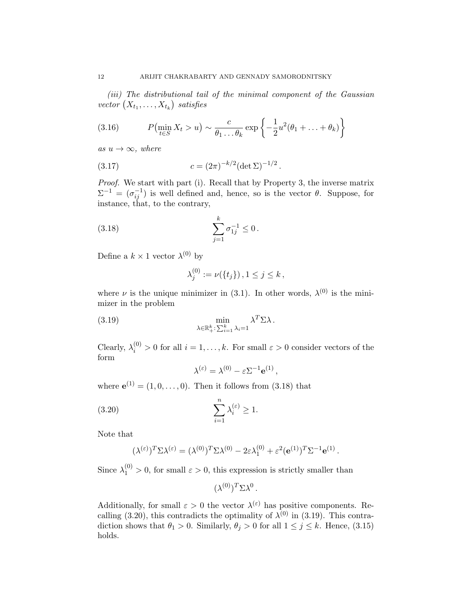(iii) The distributional tail of the minimal component of the Gaussian vector  $(X_{t_1}, \ldots, X_{t_k})$  satisfies

(3.16) 
$$
P(\min_{t \in S} X_t > u) \sim \frac{c}{\theta_1 \dots \theta_k} \exp \left\{-\frac{1}{2}u^2(\theta_1 + \dots + \theta_k)\right\}
$$

as  $u \rightarrow \infty$ , where

(3.17) 
$$
c = (2\pi)^{-k/2} (\det \Sigma)^{-1/2}.
$$

Proof. We start with part (i). Recall that by Property 3, the inverse matrix  $\Sigma^{-1} = (\sigma_{ij}^{-1})$  is well defined and, hence, so is the vector  $\theta$ . Suppose, for instance, that, to the contrary,

(3.18) 
$$
\sum_{j=1}^{k} \sigma_{1j}^{-1} \leq 0.
$$

Define a  $k \times 1$  vector  $\lambda^{(0)}$  by

$$
\lambda_j^{(0)} := \nu(\{t_j\})\,, 1 \le j \le k\,,
$$

where  $\nu$  is the unique minimizer in (3.1). In other words,  $\lambda^{(0)}$  is the minimizer in the problem

(3.19) 
$$
\min_{\lambda \in \mathbb{R}^k_+ : \sum_{i=1}^k \lambda_i = 1} \lambda^T \Sigma \lambda.
$$

Clearly,  $\lambda_i^{(0)} > 0$  for all  $i = 1, ..., k$ . For small  $\varepsilon > 0$  consider vectors of the form

$$
\lambda^{(\varepsilon)} = \lambda^{(0)} - \varepsilon \Sigma^{-1} \mathbf{e}^{(1)}\,,
$$

where  $e^{(1)} = (1, 0, \ldots, 0)$ . Then it follows from  $(3.18)$  that

(3.20) 
$$
\sum_{i=1}^{n} \lambda_i^{(\varepsilon)} \ge 1.
$$

Note that

$$
(\lambda^{(\varepsilon)})^T \Sigma \lambda^{(\varepsilon)} = (\lambda^{(0)})^T \Sigma \lambda^{(0)} - 2\varepsilon \lambda_1^{(0)} + \varepsilon^2 (\mathbf{e}^{(1)})^T \Sigma^{-1} \mathbf{e}^{(1)}.
$$

Since  $\lambda_1^{(0)} > 0$ , for small  $\varepsilon > 0$ , this expression is strictly smaller than

$$
(\lambda^{(0)})^T \Sigma \lambda^0.
$$

Additionally, for small  $\varepsilon > 0$  the vector  $\lambda^{(\varepsilon)}$  has positive components. Recalling (3.20), this contradicts the optimality of  $\lambda^{(0)}$  in (3.19). This contradiction shows that  $\theta_1 > 0$ . Similarly,  $\theta_j > 0$  for all  $1 \leq j \leq k$ . Hence, (3.15) holds.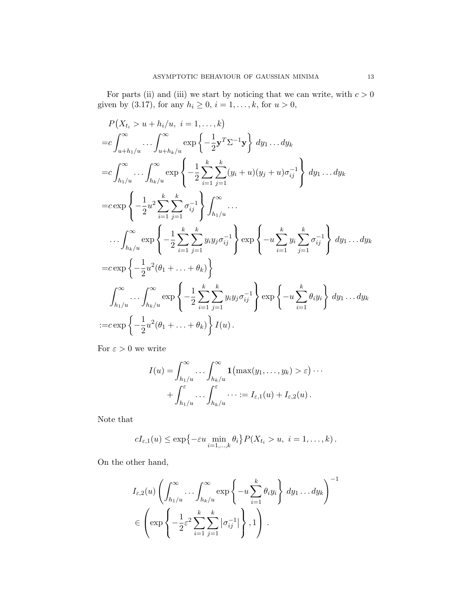For parts (ii) and (iii) we start by noticing that we can write, with  $c > 0$ given by (3.17), for any  $h_i \ge 0$ ,  $i = 1, ..., k$ , for  $u > 0$ ,

$$
P(X_{t_i} > u + h_i/u, i = 1,..., k)
$$
  
\n
$$
= c \int_{u + h_1/u}^{\infty} ... \int_{u + h_k/u}^{\infty} \exp \left\{ -\frac{1}{2} \mathbf{y}^T \Sigma^{-1} \mathbf{y} \right\} dy_1 ... dy_k
$$
  
\n
$$
= c \int_{h_1/u}^{\infty} ... \int_{h_k/u}^{\infty} \exp \left\{ -\frac{1}{2} \sum_{i=1}^k \sum_{j=1}^k (y_i + u)(y_j + u)\sigma_{ij}^{-1} \right\} dy_1 ... dy_k
$$
  
\n
$$
= c \exp \left\{ -\frac{1}{2} u^2 \sum_{i=1}^k \sum_{j=1}^k \sigma_{ij}^{-1} \right\} \int_{h_1/u}^{\infty} ...
$$
  
\n
$$
... \int_{h_k/u}^{\infty} \exp \left\{ -\frac{1}{2} \sum_{i=1}^k \sum_{j=1}^k y_i y_j \sigma_{ij}^{-1} \right\} \exp \left\{ -u \sum_{i=1}^k y_i \sum_{j=1}^k \sigma_{ij}^{-1} \right\} dy_1 ... dy_k
$$
  
\n
$$
= c \exp \left\{ -\frac{1}{2} u^2 (\theta_1 + ... + \theta_k) \right\}
$$
  
\n
$$
\int_{h_1/u}^{\infty} ... \int_{h_k/u}^{\infty} \exp \left\{ -\frac{1}{2} \sum_{i=1}^k \sum_{j=1}^k y_i y_j \sigma_{ij}^{-1} \right\} \exp \left\{ -u \sum_{i=1}^k \theta_i y_i \right\} dy_1 ... dy_k
$$
  
\n:=  $c \exp \left\{ -\frac{1}{2} u^2 (\theta_1 + ... + \theta_k) \right\} I(u).$ 

For  $\varepsilon > 0$  we write

$$
I(u) = \int_{h_1/u}^{\infty} \dots \int_{h_k/u}^{\infty} \mathbf{1} \left( \max(y_1, \dots, y_k) > \varepsilon \right) \dots + \int_{h_1/u}^{\varepsilon} \dots \int_{h_k/u}^{\varepsilon} \dots := I_{\varepsilon,1}(u) + I_{\varepsilon,2}(u) .
$$

Note that

$$
cI_{\varepsilon,1}(u) \leq \exp\{-\varepsilon u \min_{i=1,\dots,k} \theta_i\} P(X_{t_i} > u, i = 1,\dots,k).
$$

On the other hand,

$$
I_{\varepsilon,2}(u) \left( \int_{h_1/u}^{\infty} \cdots \int_{h_k/u}^{\infty} \exp \left\{-u \sum_{i=1}^k \theta_i y_i \right\} dy_1 \cdots dy_k \right)^{-1}
$$
  

$$
\in \left( \exp \left\{-\frac{1}{2} \varepsilon^2 \sum_{i=1}^k \sum_{j=1}^k |\sigma_{ij}^{-1}| \right\}, 1 \right).
$$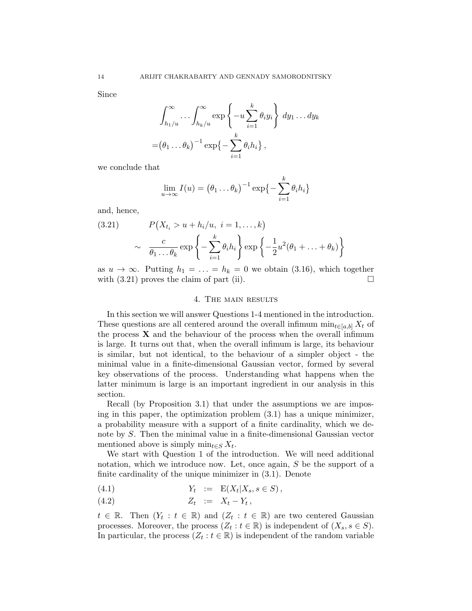Since

$$
\int_{h_1/u}^{\infty} \cdots \int_{h_k/u}^{\infty} \exp\left\{-u \sum_{i=1}^k \theta_i y_i\right\} dy_1 \ldots dy_k
$$

$$
= (\theta_1 \ldots \theta_k)^{-1} \exp\left\{-\sum_{i=1}^k \theta_i h_i\right\},
$$

we conclude that

$$
\lim_{u \to \infty} I(u) = (\theta_1 \dots \theta_k)^{-1} \exp\left\{-\sum_{i=1}^k \theta_i h_i\right\}
$$

and, hence,

(3.21) 
$$
P(X_{t_i} > u + h_i/u, i = 1,...,k)
$$

$$
\sim \frac{c}{\theta_1 ... \theta_k} \exp\left\{-\sum_{i=1}^k \theta_i h_i\right\} \exp\left\{-\frac{1}{2}u^2(\theta_1 + ... + \theta_k)\right\}
$$

as  $u \to \infty$ . Putting  $h_1 = \ldots = h_k = 0$  we obtain (3.16), which together with  $(3.21)$  proves the claim of part (ii).

### 4. The main results

In this section we will answer Questions 1-4 mentioned in the introduction. These questions are all centered around the overall infimum  $\min_{t \in [a,b]} X_t$  of the process  $X$  and the behaviour of the process when the overall infimum is large. It turns out that, when the overall infimum is large, its behaviour is similar, but not identical, to the behaviour of a simpler object - the minimal value in a finite-dimensional Gaussian vector, formed by several key observations of the process. Understanding what happens when the latter minimum is large is an important ingredient in our analysis in this section.

Recall (by Proposition 3.1) that under the assumptions we are imposing in this paper, the optimization problem (3.1) has a unique minimizer, a probability measure with a support of a finite cardinality, which we denote by S. Then the minimal value in a finite-dimensional Gaussian vector mentioned above is simply  $\min_{t \in S} X_t$ .

We start with Question 1 of the introduction. We will need additional notation, which we introduce now. Let, once again, S be the support of a finite cardinality of the unique minimizer in (3.1). Denote

$$
(4.1) \t Y_t := E(X_t | X_s, s \in S),
$$

$$
(4.2) \t\t Z_t := X_t - Y_t,
$$

 $t \in \mathbb{R}$ . Then  $(Y_t : t \in \mathbb{R})$  and  $(Z_t : t \in \mathbb{R})$  are two centered Gaussian processes. Moreover, the process  $(Z_t : t \in \mathbb{R})$  is independent of  $(X_s, s \in S)$ . In particular, the process  $(Z_t : t \in \mathbb{R})$  is independent of the random variable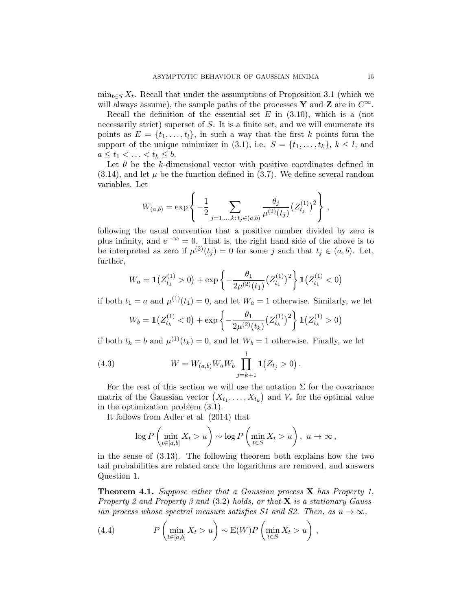$\min_{t \in S} X_t$ . Recall that under the assumptions of Proposition 3.1 (which we will always assume), the sample paths of the processes Y and Z are in  $C^{\infty}$ .

Recall the definition of the essential set  $E$  in  $(3.10)$ , which is a (not necessarily strict) superset of S. It is a finite set, and we will enumerate its points as  $E = \{t_1, \ldots, t_l\}$ , in such a way that the first k points form the support of the unique minimizer in (3.1), i.e.  $S = \{t_1, \ldots, t_k\}, k \leq l$ , and  $a \leq t_1 < \ldots < t_k \leq b.$ 

Let  $\theta$  be the k-dimensional vector with positive coordinates defined in  $(3.14)$ , and let  $\mu$  be the function defined in  $(3.7)$ . We define several random variables. Let

$$
W_{(a,b)} = \exp\left\{-\frac{1}{2} \sum_{j=1,\ldots,k:\,t_j \in (a,b)} \frac{\theta_j}{\mu^{(2)}(t_j)} (Z_{t_j}^{(1)})^2\right\},\,
$$

following the usual convention that a positive number divided by zero is plus infinity, and  $e^{-\infty} = 0$ . That is, the right hand side of the above is to be interpreted as zero if  $\mu^{(2)}(t_j) = 0$  for some j such that  $t_j \in (a, b)$ . Let, further,

$$
W_a = \mathbf{1}(Z_{t_1}^{(1)} > 0) + \exp\left\{-\frac{\theta_1}{2\mu^{(2)}(t_1)}(Z_{t_1}^{(1)})^2\right\}\mathbf{1}(Z_{t_1}^{(1)} < 0)
$$

if both  $t_1 = a$  and  $\mu^{(1)}(t_1) = 0$ , and let  $W_a = 1$  otherwise. Similarly, we let

$$
W_b = \mathbf{1}(Z_{t_k}^{(1)} < 0) + \exp\left\{-\frac{\theta_1}{2\mu^{(2)}(t_k)}(Z_{t_k}^{(1)})^2\right\}\mathbf{1}(Z_{t_k}^{(1)} > 0)
$$

if both  $t_k = b$  and  $\mu^{(1)}(t_k) = 0$ , and let  $W_b = 1$  otherwise. Finally, we let

(4.3) 
$$
W = W_{(a,b)} W_a W_b \prod_{j=k+1}^l \mathbf{1}(Z_{t_j} > 0).
$$

For the rest of this section we will use the notation  $\Sigma$  for the covariance matrix of the Gaussian vector  $(X_{t_1},...,X_{t_k})$  and  $V_*$  for the optimal value in the optimization problem (3.1).

It follows from Adler et al. (2014) that

$$
\log P\left(\min_{t\in[a,b]} X_t > u\right) \sim \log P\left(\min_{t\in S} X_t > u\right), \ u \to \infty,
$$

in the sense of (3.13). The following theorem both explains how the two tail probabilities are related once the logarithms are removed, and answers Question 1.

**Theorem 4.1.** Suppose either that a Gaussian process  $X$  has Property 1, Property 2 and Property 3 and  $(3.2)$  holds, or that **X** is a stationary Gaussian process whose spectral measure satisfies S1 and S2. Then, as  $u \to \infty$ ,

(4.4) 
$$
P\left(\min_{t\in[a,b]}X_t>u\right) \sim E(W)P\left(\min_{t\in S}X_t>u\right),
$$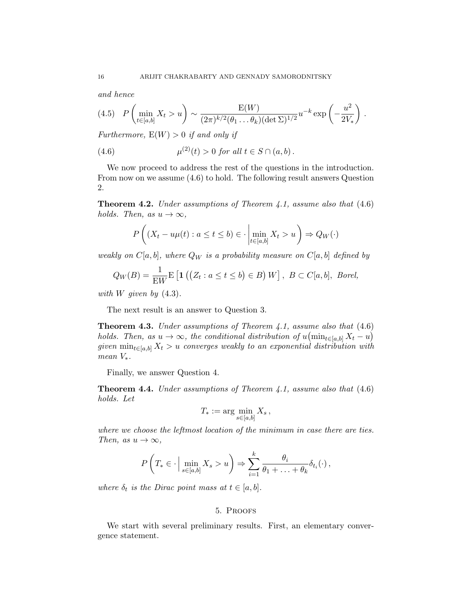and hence

$$
(4.5) \quad P\left(\min_{t \in [a,b]} X_t > u\right) \sim \frac{E(W)}{(2\pi)^{k/2}(\theta_1 \dots \theta_k)(\det \Sigma)^{1/2}} u^{-k} \exp\left(-\frac{u^2}{2V_*}\right).
$$

Furthermore,  $E(W) > 0$  if and only if

(4.6) 
$$
\mu^{(2)}(t) > 0 \text{ for all } t \in S \cap (a, b).
$$

We now proceed to address the rest of the questions in the introduction. From now on we assume (4.6) to hold. The following result answers Question 2.

**Theorem 4.2.** Under assumptions of Theorem 4.1, assume also that  $(4.6)$ holds. Then, as  $u \to \infty$ ,

$$
P\left((X_t - u\mu(t) : a \le t \le b) \in \cdot \left| \min_{t \in [a,b]} X_t > u \right. \right) \Rightarrow Q_W(\cdot)
$$

weakly on  $C[a, b]$ , where  $Q_W$  is a probability measure on  $C[a, b]$  defined by

$$
Q_W(B) = \frac{1}{\mathbf{E}W} \mathbf{E} \left[ \mathbf{1} \left( \left( Z_t : a \le t \le b \right) \in B \right) W \right], \ B \subset C[a, b], \ Borel,
$$

with W given by  $(4.3)$ .

The next result is an answer to Question 3.

**Theorem 4.3.** Under assumptions of Theorem 4.1, assume also that  $(4.6)$ holds. Then, as  $u \to \infty$ , the conditional distribution of  $u(\min_{t \in [a,b]} X_t - u)$ given  $\min_{t \in [a,b]} X_t > u$  converges weakly to an exponential distribution with mean  $V_*$ .

Finally, we answer Question 4.

**Theorem 4.4.** Under assumptions of Theorem 4.1, assume also that  $(4.6)$ holds. Let

$$
T_* := \arg\min_{s \in [a,b]} X_s \,,
$$

where we choose the leftmost location of the minimum in case there are ties. Then, as  $u \to \infty$ ,

$$
P\left(T_* \in \cdot \Big| \min_{s \in [a,b]} X_s > u\right) \Rightarrow \sum_{i=1}^k \frac{\theta_i}{\theta_1 + \ldots + \theta_k} \delta_{t_i}(\cdot),
$$

where  $\delta_t$  is the Dirac point mass at  $t \in [a, b]$ .

# 5. Proofs

We start with several preliminary results. First, an elementary convergence statement.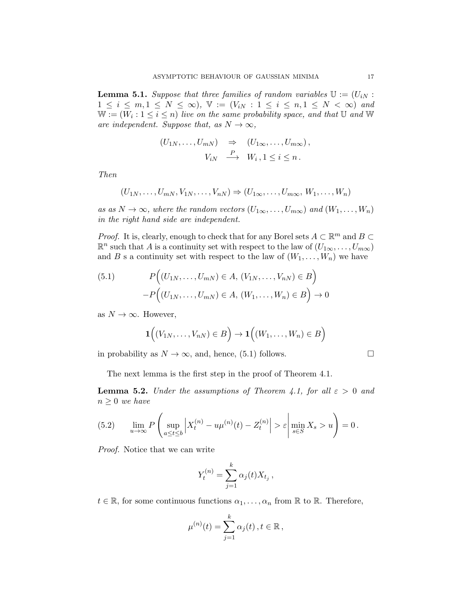**Lemma 5.1.** Suppose that three families of random variables  $\mathbb{U} := (U_{iN} :$  $1 \leq i \leq m, 1 \leq N \leq \infty$ ,  $\mathbb{V} := (V_{iN} : 1 \leq i \leq n, 1 \leq N < \infty)$  and  $\mathbb{W} := (W_i : 1 \leq i \leq n)$  live on the same probability space, and that  $\mathbb U$  and  $\mathbb W$ are independent. Suppose that, as  $N \to \infty$ ,

$$
(U_{1N},...,U_{mN}) \Rightarrow (U_{1\infty},...,U_{m\infty}),
$$
  

$$
V_{iN} \xrightarrow{P} W_i, 1 \leq i \leq n.
$$

Then

$$
(U_{1N},\ldots,U_{mN},V_{1N},\ldots,V_{nN})\Rightarrow (U_{1\infty},\ldots,U_{m\infty},W_1,\ldots,W_n)
$$

as as  $N \to \infty$ , where the random vectors  $(U_{1\infty},...,U_{m\infty})$  and  $(W_1,...,W_n)$ in the right hand side are independent.

*Proof.* It is, clearly, enough to check that for any Borel sets  $A \subset \mathbb{R}^m$  and  $B \subset$  $\mathbb{R}^n$  such that A is a continuity set with respect to the law of  $(U_{1\infty},\ldots,U_{m\infty})$ and B s a continuity set with respect to the law of  $(W_1, \ldots, W_n)$  we have

(5.1) 
$$
P((U_{1N},...,U_{mN}) \in A, (V_{1N},...,V_{nN}) \in B) - P((U_{1N},...,U_{mN}) \in A, (W_{1},...,W_{n}) \in B) \to 0
$$

as  $N \to \infty$ . However,

$$
\mathbf{1}((V_{1N},\ldots,V_{nN})\in B)\rightarrow\mathbf{1}((W_1,\ldots,W_n)\in B)
$$

in probability as  $N \to \infty$ , and, hence, (5.1) follows.

The next lemma is the first step in the proof of Theorem 4.1.

**Lemma 5.2.** Under the assumptions of Theorem 4.1, for all  $\varepsilon > 0$  and  $n \geq 0$  we have

(5.2) 
$$
\lim_{u \to \infty} P\left(\sup_{a \le t \le b} \left| X_t^{(n)} - u\mu^{(n)}(t) - Z_t^{(n)} \right| > \varepsilon \left| \min_{s \in S} X_s > u \right| \right) = 0.
$$

Proof. Notice that we can write

$$
Y_t^{(n)} = \sum_{j=1}^k \alpha_j(t) X_{t_j},
$$

 $t \in \mathbb{R}$ , for some continuous functions  $\alpha_1, \ldots, \alpha_n$  from  $\mathbb R$  to  $\mathbb R$ . Therefore,

$$
\mu^{(n)}(t) = \sum_{j=1}^k \alpha_j(t), t \in \mathbb{R},
$$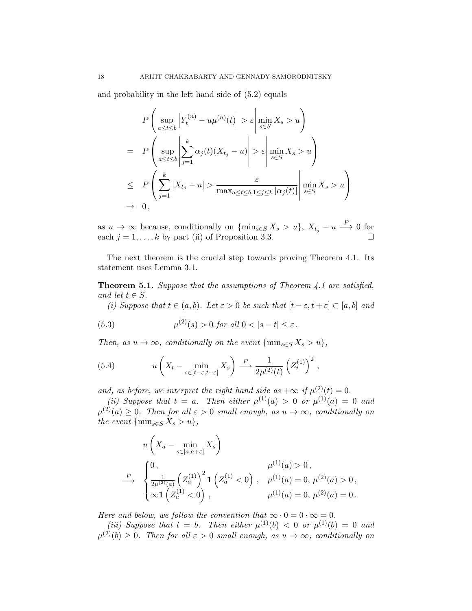and probability in the left hand side of (5.2) equals

$$
P\left(\sup_{a\leq t\leq b} \left|Y_t^{(n)} - u\mu^{(n)}(t)\right| > \varepsilon \left|\min_{s\in S} X_s > u\right.\right)
$$
\n
$$
= P\left(\sup_{a\leq t\leq b} \left|\sum_{j=1}^k \alpha_j(t)(X_{t_j} - u)\right| > \varepsilon \left|\min_{s\in S} X_s > u\right.\right)
$$
\n
$$
\leq P\left(\sum_{j=1}^k |X_{t_j} - u| > \frac{\varepsilon}{\max_{a\leq t\leq b, 1\leq j\leq k} |\alpha_j(t)|} \left|\min_{s\in S} X_s > u\right.\right)
$$
\n
$$
\to 0,
$$

as  $u \to \infty$  because, conditionally on  $\{\min_{s \in S} X_s > u\}$ ,  $X_{t_j} - u \stackrel{P}{\longrightarrow} 0$  for each  $j = 1, ..., k$  by part (ii) of Proposition 3.3.

The next theorem is the crucial step towards proving Theorem 4.1. Its statement uses Lemma 3.1.

Theorem 5.1. Suppose that the assumptions of Theorem 4.1 are satisfied, and let  $t \in S$ .

(i) Suppose that  $t \in (a, b)$ . Let  $\varepsilon > 0$  be such that  $[t - \varepsilon, t + \varepsilon] \subset [a, b]$  and

(5.3) 
$$
\mu^{(2)}(s) > 0 \text{ for all } 0 < |s - t| \le \varepsilon.
$$

Then, as  $u \to \infty$ , conditionally on the event  $\{\min_{s \in S} X_s > u\},\$ 

(5.4) 
$$
u\left(X_t - \min_{s \in [t-\varepsilon,t+\varepsilon]} X_s\right) \xrightarrow{P} \frac{1}{2\mu^{(2)}(t)} \left(Z_t^{(1)}\right)^2,
$$

and, as before, we interpret the right hand side as  $+\infty$  if  $\mu^{(2)}(t) = 0$ .

(ii) Suppose that  $t = a$ . Then either  $\mu^{(1)}(a) > 0$  or  $\mu^{(1)}(a) = 0$  and  $\mu^{(2)}(a) \geq 0$ . Then for all  $\varepsilon > 0$  small enough, as  $u \to \infty$ , conditionally on the event  $\{\min_{s\in S} X_s > u\},\$ 

$$
u\left(X_a - \min_{s \in [a,a+\varepsilon]} X_s\right)
$$
  
\n
$$
\xrightarrow{\rho} \begin{cases}\n0, & \mu^{(1)}(a) > 0, \\
\frac{1}{2\mu^{(2)}(a)} \left(Z_a^{(1)}\right)^2 \mathbf{1} \left(Z_a^{(1)} < 0\right), & \mu^{(1)}(a) = 0, \mu^{(2)}(a) > 0, \\
\infty \mathbf{1} \left(Z_a^{(1)} < 0\right), & \mu^{(1)}(a) = 0, \mu^{(2)}(a) = 0.\n\end{cases}
$$

Here and below, we follow the convention that  $\infty \cdot 0 = 0 \cdot \infty = 0$ .

(iii) Suppose that  $t = b$ . Then either  $\mu^{(1)}(b) < 0$  or  $\mu^{(1)}(b) = 0$  and  $\mu^{(2)}(b) \geq 0$ . Then for all  $\varepsilon > 0$  small enough, as  $u \to \infty$ , conditionally on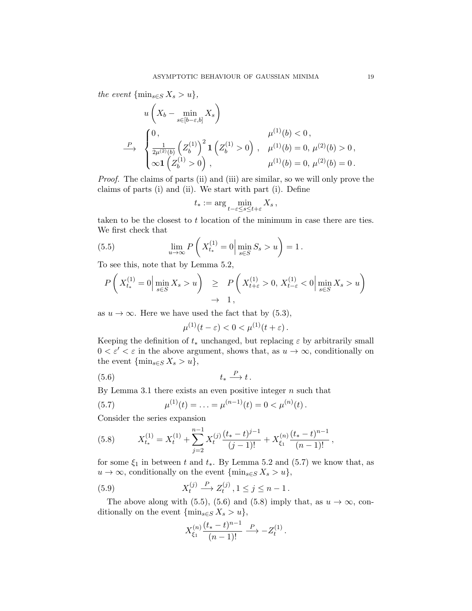the event  $\{\min_{s\in S} X_s > u\},\$ 

$$
u\left(X_b - \min_{s \in [b-\varepsilon, b]} X_s\right)
$$
  
\n
$$
\xrightarrow{\rho} \begin{cases}\n0, & \mu^{(1)}(b) < 0, \\
\frac{1}{2\mu^{(2)}(b)} \left(Z_b^{(1)}\right)^2 \mathbf{1} \left(Z_b^{(1)} > 0\right), & \mu^{(1)}(b) = 0, \mu^{(2)}(b) > 0, \\
\infty \mathbf{1} \left(Z_b^{(1)} > 0\right), & \mu^{(1)}(b) = 0, \mu^{(2)}(b) = 0.\n\end{cases}
$$

Proof. The claims of parts (ii) and (iii) are similar, so we will only prove the claims of parts (i) and (ii). We start with part (i). Define

$$
t_*:=\arg\min_{t-\varepsilon\leq s\leq t+\varepsilon}X_s\,,
$$

taken to be the closest to t location of the minimum in case there are ties. We first check that

(5.5) 
$$
\lim_{u \to \infty} P\left(X_{t_*}^{(1)} = 0 \Big| \min_{s \in S} S_s > u\right) = 1.
$$

To see this, note that by Lemma 5.2,

$$
P\left(X_{t_*}^{(1)}=0\Big|\min_{s\in S}X_s>u\right) \ge P\left(X_{t+\varepsilon}^{(1)}>0, X_{t-\varepsilon}^{(1)}<0\Big|\min_{s\in S}X_s>u\right) \to 1,
$$

as  $u \to \infty$ . Here we have used the fact that by (5.3),

$$
\mu^{(1)}(t-\varepsilon) < 0 < \mu^{(1)}(t+\varepsilon).
$$

Keeping the definition of  $t_*$  unchanged, but replacing  $\varepsilon$  by arbitrarily small  $0 < \varepsilon' < \varepsilon$  in the above argument, shows that, as  $u \to \infty$ , conditionally on the event  $\{\min_{s\in S} X_s > u\},\$ 

$$
(5.6) \t t_* \xrightarrow{P} t.
$$

By Lemma 3.1 there exists an even positive integer  $n$  such that

(5.7) 
$$
\mu^{(1)}(t) = \ldots = \mu^{(n-1)}(t) = 0 < \mu^{(n)}(t).
$$

Consider the series expansion

(5.8) 
$$
X_{t_*}^{(1)} = X_t^{(1)} + \sum_{j=2}^{n-1} X_t^{(j)} \frac{(t_* - t)^{j-1}}{(j-1)!} + X_{\xi_1}^{(n)} \frac{(t_* - t)^{n-1}}{(n-1)!},
$$

for some  $\xi_1$  in between t and  $t_*$ . By Lemma 5.2 and (5.7) we know that, as  $u \to \infty$ , conditionally on the event  $\{\min_{s \in S} X_s > u\},\$ 

(5.9) 
$$
X_t^{(j)} \xrightarrow{P} Z_t^{(j)}, 1 \le j \le n-1.
$$

The above along with (5.5), (5.6) and (5.8) imply that, as  $u \to \infty$ , conditionally on the event  $\{\min_{s\in S} X_s > u\},\$ 

$$
X_{\xi_1}^{(n)} \frac{(t_* - t)^{n-1}}{(n-1)!} \xrightarrow{P} -Z_t^{(1)}.
$$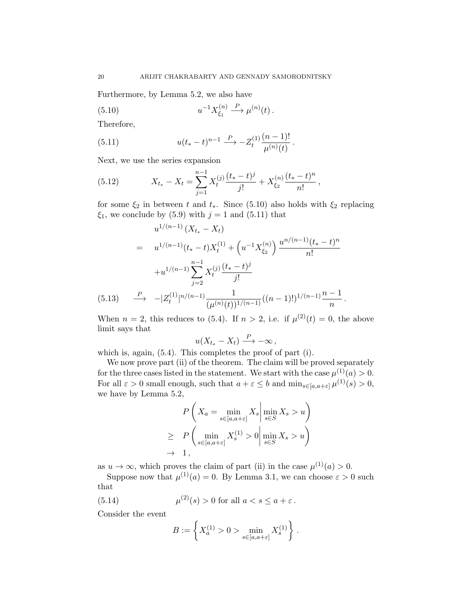Furthermore, by Lemma 5.2, we also have

(5.10) 
$$
u^{-1} X_{\xi_1}^{(n)} \xrightarrow{P} \mu^{(n)}(t).
$$

Therefore,

(5.11) 
$$
u(t_{*}-t)^{n-1} \xrightarrow{P} -Z_{t}^{(1)} \frac{(n-1)!}{\mu^{(n)}(t)}.
$$

Next, we use the series expansion

(5.12) 
$$
X_{t_*} - X_t = \sum_{j=1}^{n-1} X_t^{(j)} \frac{(t_* - t)^j}{j!} + X_{\xi_2}^{(n)} \frac{(t_* - t)^n}{n!},
$$

for some  $\xi_2$  in between t and  $t_*$ . Since (5.10) also holds with  $\xi_2$  replacing  $\xi_1$ , we conclude by (5.9) with  $j = 1$  and (5.11) that

$$
u^{1/(n-1)}(X_{t_*} - X_t)
$$
  
=  $u^{1/(n-1)}(t_* - t)X_t^{(1)} + (u^{-1}X_{\xi_2}^{(n)}) \frac{u^{n/(n-1)}(t_* - t)^n}{n!}$   
+  $u^{1/(n-1)} \sum_{j=2}^{n-1} X_t^{(j)} \frac{(t_* - t)^j}{j!}$   
(5.13)  $\xrightarrow{P} -|Z_t^{(1)}|^{n/(n-1)} \frac{1}{(\mu^{(n)}(t))^{1/(n-1)}}((n-1)!)^{1/(n-1)} \frac{n-1}{n}.$ 

When  $n = 2$ , this reduces to (5.4). If  $n > 2$ , i.e. if  $\mu^{(2)}(t) = 0$ , the above limit says that

$$
u(X_{t_*}-X_t)\stackrel{P}{\longrightarrow} -\infty\,,
$$

which is, again,  $(5.4)$ . This completes the proof of part (i).

We now prove part (ii) of the theorem. The claim will be proved separately for the three cases listed in the statement. We start with the case  $\mu^{(1)}(a) > 0$ . For all  $\varepsilon > 0$  small enough, such that  $a + \varepsilon \leq b$  and  $\min_{s \in [a, a + \varepsilon]} \mu^{(1)}(s) > 0$ , we have by Lemma 5.2,

$$
P\left(X_a = \min_{s \in [a,a+\varepsilon]} X_s \middle| \min_{s \in S} X_s > u\right)
$$
  
\n
$$
\geq P\left(\min_{s \in [a,a+\varepsilon]} X_s^{(1)} > 0 \middle| \min_{s \in S} X_s > u\right)
$$
  
\n
$$
\to 1,
$$

 $\mathbf{r}$ 

as  $u \to \infty$ , which proves the claim of part (ii) in the case  $\mu^{(1)}(a) > 0$ .

Suppose now that  $\mu^{(1)}(a) = 0$ . By Lemma 3.1, we can choose  $\varepsilon > 0$  such that

(5.14) 
$$
\mu^{(2)}(s) > 0 \text{ for all } a < s \le a + \varepsilon.
$$

Consider the event

$$
B := \left\{ X_a^{(1)} > 0 > \min_{s \in [a, a+\varepsilon]} X_s^{(1)} \right\} .
$$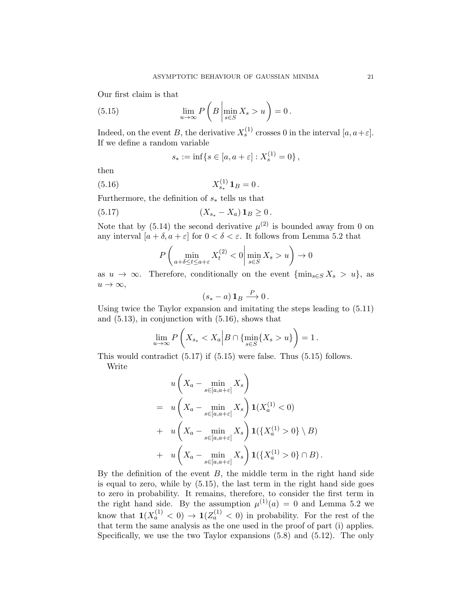Our first claim is that

(5.15) 
$$
\lim_{u \to \infty} P\left(B \left|\min_{s \in S} X_s > u\right.\right) = 0.
$$

Indeed, on the event B, the derivative  $X_s^{(1)}$  crosses 0 in the interval  $[a, a+\varepsilon]$ . If we define a random variable

$$
s_* := \inf\{s \in [a, a + \varepsilon] : X_s^{(1)} = 0\},\,
$$

then

(5.16) 
$$
X_{s_*}^{(1)} 1_B = 0.
$$

Furthermore, the definition of  $s_*$  tells us that

(5.17) 
$$
(X_{s_*} - X_a) \mathbf{1}_B \ge 0.
$$

Note that by (5.14) the second derivative  $\mu^{(2)}$  is bounded away from 0 on any interval  $[a + \delta, a + \varepsilon]$  for  $0 < \delta < \varepsilon$ . It follows from Lemma 5.2 that

$$
P\left(\min_{a+\delta\leq t\leq a+\varepsilon} X_t^{(2)} < 0 \middle| \min_{s\in S} X_s > u\right) \to 0
$$

as  $u \to \infty$ . Therefore, conditionally on the event  $\{\min_{s \in S} X_s > u\}$ , as  $u \to \infty$ ,

$$
(s_*-a) \mathbf{1}_B \xrightarrow{P} 0.
$$

Using twice the Taylor expansion and imitating the steps leading to (5.11) and (5.13), in conjunction with (5.16), shows that

$$
\lim_{u \to \infty} P\left(X_{s_*} < X_a \middle| B \cap \{\min_{s \in S} \{X_s > u\}\right) = 1.
$$

This would contradict (5.17) if (5.15) were false. Thus (5.15) follows. Write

$$
u\left(X_a - \min_{s \in [a,a+\varepsilon]} X_s\right)
$$
  
= 
$$
u\left(X_a - \min_{s \in [a,a+\varepsilon]} X_s\right) \mathbf{1}(X_a^{(1)} < 0)
$$
  
+ 
$$
u\left(X_a - \min_{s \in [a,a+\varepsilon]} X_s\right) \mathbf{1}(\lbrace X_a^{(1)} > 0 \rbrace \setminus B)
$$
  
+ 
$$
u\left(X_a - \min_{s \in [a,a+\varepsilon]} X_s\right) \mathbf{1}(\lbrace X_a^{(1)} > 0 \rbrace \cap B).
$$

By the definition of the event  $B$ , the middle term in the right hand side is equal to zero, while by (5.15), the last term in the right hand side goes to zero in probability. It remains, therefore, to consider the first term in the right hand side. By the assumption  $\mu^{(1)}(a) = 0$  and Lemma 5.2 we know that  $\mathbf{1}(X_a^{(1)} < 0) \to \mathbf{1}(Z_a^{(1)} < 0)$  in probability. For the rest of the that term the same analysis as the one used in the proof of part (i) applies. Specifically, we use the two Taylor expansions (5.8) and (5.12). The only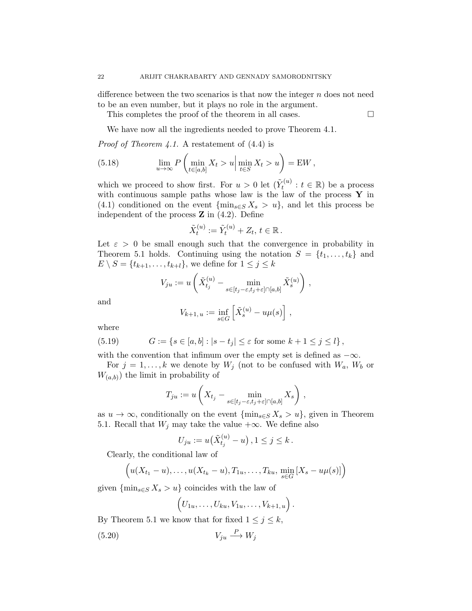difference between the two scenarios is that now the integer  $n$  does not need to be an even number, but it plays no role in the argument.

This completes the proof of the theorem in all cases.  $\Box$ 

We have now all the ingredients needed to prove Theorem 4.1.

*Proof of Theorem 4.1.* A restatement of  $(4.4)$  is

(5.18) 
$$
\lim_{u \to \infty} P\left(\min_{t \in [a,b]} X_t > u \middle| \min_{t \in S} X_t > u\right) = \mathbf{E} W,
$$

which we proceed to show first. For  $u > 0$  let  $(\tilde{Y}_t^{(u)})$  $t_t^{(u)}: t \in \mathbb{R}$ ) be a process with continuous sample paths whose law is the law of the process  $\mathbf Y$  in (4.1) conditioned on the event  $\{\min_{s\in S} X_s > u\}$ , and let this process be independent of the process  $Z$  in  $(4.2)$ . Define

$$
\tilde{X}_t^{(u)} := \tilde{Y}_t^{(u)} + Z_t, t \in \mathbb{R}.
$$

Let  $\varepsilon > 0$  be small enough such that the convergence in probability in Theorem 5.1 holds. Continuing using the notation  $S = \{t_1, \ldots, t_k\}$  and  $E \setminus S = \{t_{k+1}, \ldots, t_{k+l}\},$  we define for  $1 \leq j \leq k$ 

$$
V_{ju} := u\left(\tilde{X}_{t_j}^{(u)} - \min_{s \in [t_j - \varepsilon, t_j + \varepsilon] \cap [a,b]} \tilde{X}_s^{(u)}\right),
$$

and

$$
V_{k+1, u} := \inf_{s \in G} \left[ \tilde{X}_s^{(u)} - u\mu(s) \right],
$$

where

(5.19) 
$$
G := \{ s \in [a, b] : |s - t_j| \le \varepsilon \text{ for some } k + 1 \le j \le l \},
$$

with the convention that infimum over the empty set is defined as  $-\infty$ .

For  $j = 1, ..., k$  we denote by  $W_j$  (not to be confused with  $W_a$ ,  $W_b$  or  $W_{(a,b)}$  the limit in probability of

$$
T_{ju} := u\left(X_{t_j} - \min_{s \in [t_j - \varepsilon, t_j + \varepsilon] \cap [a, b]} X_s\right),\,
$$

as  $u \to \infty$ , conditionally on the event  $\{\min_{s \in S} X_s > u\}$ , given in Theorem 5.1. Recall that  $W_j$  may take the value +∞. We define also

$$
U_{ju} := u(\tilde{X}_{t_j}^{(u)} - u), 1 \le j \le k.
$$

Clearly, the conditional law of

$$
\left(u(X_{t_1}-u),\ldots,u(X_{t_k}-u),T_{1u},\ldots,T_{ku},\min_{s\in G}[X_s-u\mu(s)]\right)
$$

given  $\{\min_{s\in S} X_s > u\}$  coincides with the law of

$$
(U_{1u},\ldots,U_{ku},V_{1u},\ldots,V_{k+1,u}).
$$

By Theorem 5.1 we know that for fixed  $1 \leq j \leq k$ ,

$$
(5.20) \t\t V_{ju} \xrightarrow{P} W_j
$$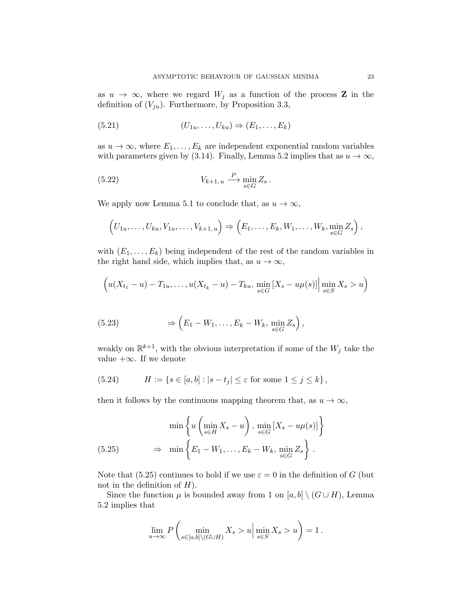as  $u \to \infty$ , where we regard  $W_j$  as a function of the process **Z** in the definition of  $(V_{ju})$ . Furthermore, by Proposition 3.3,

$$
(5.21) \qquad (U_{1u},\ldots,U_{ku}) \Rightarrow (E_1,\ldots,E_k)
$$

as  $u \to \infty$ , where  $E_1, \ldots, E_k$  are independent exponential random variables with parameters given by (3.14). Finally, Lemma 5.2 implies that as  $u \to \infty$ ,

(5.22) 
$$
V_{k+1,u} \xrightarrow{P} \min_{s \in G} Z_s.
$$

We apply now Lemma 5.1 to conclude that, as  $u \to \infty$ ,

$$
(U_{1u},\ldots,U_{ku},V_{1u},\ldots,V_{k+1,u})\Rightarrow (E_1,\ldots,E_k,W_1,\ldots,W_k,\min_{s\in G}Z_s),
$$

with  $(E_1, \ldots, E_k)$  being independent of the rest of the random variables in the right hand side, which implies that, as  $u \to \infty$ ,

$$
\left(u(X_{t_1}-u) - T_{1u}, \dots, u(X_{t_k}-u) - T_{ku}, \min_{s \in G} [X_s - u\mu(s)] \Big| \min_{s \in S} X_s > u\right)
$$

(5.23) 
$$
\Rightarrow \left( E_1 - W_1, \dots, E_k - W_k, \min_{s \in G} Z_s \right),
$$

weakly on  $\mathbb{R}^{k+1}$ , with the obvious interpretation if some of the  $W_j$  take the value  $+\infty$ . If we denote

(5.24) 
$$
H := \{ s \in [a, b] : |s - t_j| \le \varepsilon \text{ for some } 1 \le j \le k \},
$$

then it follows by the continuous mapping theorem that, as  $u \to \infty$ ,

$$
\min \left\{ u \left( \min_{s \in H} X_s - u \right), \min_{s \in G} \left[ X_s - u\mu(s) \right] \right\}
$$
  
(5.25) 
$$
\Rightarrow \min \left\{ E_1 - W_1, \dots, E_k - W_k, \min_{s \in G} Z_s \right\}.
$$

Note that (5.25) continues to hold if we use  $\varepsilon = 0$  in the definition of G (but not in the definition of  $H$ ).

Since the function  $\mu$  is bounded away from 1 on  $[a, b] \setminus (G \cup H)$ , Lemma 5.2 implies that

$$
\lim_{u \to \infty} P\left(\min_{s \in [a,b] \setminus (G \cup H)} X_s > u \middle| \min_{s \in S} X_s > u\right) = 1.
$$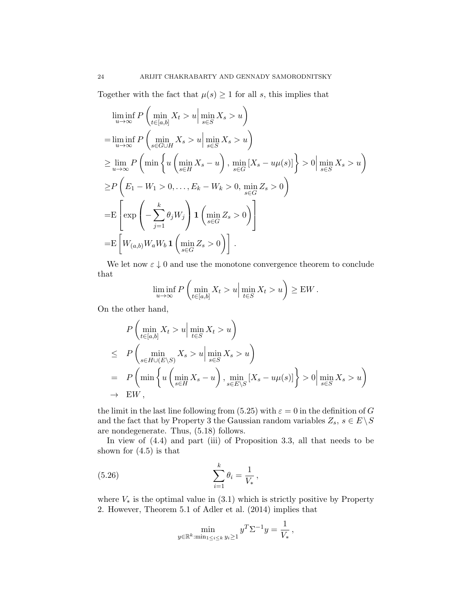Together with the fact that  $\mu(s) \geq 1$  for all s, this implies that

$$
\liminf_{u \to \infty} P\left(\min_{t \in [a,b]} X_t > u \mid \min_{s \in S} X_s > u\right)
$$
\n
$$
= \liminf_{u \to \infty} P\left(\min_{s \in G \cup H} X_s > u \mid \min_{s \in S} X_s > u\right)
$$
\n
$$
\geq \lim_{u \to \infty} P\left(\min \left\{u\left(\min_{s \in H} X_s - u\right), \min_{s \in G} [X_s - u\mu(s)]\right\} > 0 \mid \min_{s \in S} X_s > u\right)
$$
\n
$$
\geq P\left(E_1 - W_1 > 0, \dots, E_k - W_k > 0, \min_{s \in G} Z_s > 0\right)
$$
\n
$$
= E\left[\exp\left(-\sum_{j=1}^k \theta_j W_j\right) \mathbf{1}\left(\min_{s \in G} Z_s > 0\right)\right]
$$
\n
$$
= E\left[W_{(a,b)} W_a W_b \mathbf{1}\left(\min_{s \in G} Z_s > 0\right)\right].
$$

We let now  $\varepsilon \downarrow 0$  and use the monotone convergence theorem to conclude that

$$
\liminf_{u \to \infty} P\left(\min_{t \in [a,b]} X_t > u \middle| \min_{t \in S} X_t > u\right) \geq \mathbf{E} W.
$$

On the other hand,

$$
P\left(\min_{t\in[a,b]} X_t > u \middle| \min_{t\in S} X_t > u\right)
$$
  
\n
$$
\leq P\left(\min_{s\in H\cup(E\setminus S)} X_s > u \middle| \min_{s\in S} X_s > u\right)
$$
  
\n
$$
= P\left(\min \left\{u\left(\min_{s\in H} X_s - u\right), \min_{s\in E\setminus S} [X_s - u\mu(s)]\right\} > 0 \middle| \min_{s\in S} X_s > u\right)
$$
  
\n
$$
\to EW,
$$

the limit in the last line following from (5.25) with  $\varepsilon = 0$  in the definition of G and the fact that by Property 3 the Gaussian random variables  $Z_s, \, s \in E \, \backslash \, S$ are nondegenerate. Thus, (5.18) follows.

In view of (4.4) and part (iii) of Proposition 3.3, all that needs to be shown for  $(4.5)$  is that

(5.26) 
$$
\sum_{i=1}^{k} \theta_i = \frac{1}{V_*},
$$

where  $V_*$  is the optimal value in  $(3.1)$  which is strictly positive by Property 2. However, Theorem 5.1 of Adler et al. (2014) implies that

$$
\min_{y \in \mathbb{R}^k : \min_{1 \le i \le k} y_i \ge 1} y^T \Sigma^{-1} y = \frac{1}{V_*},
$$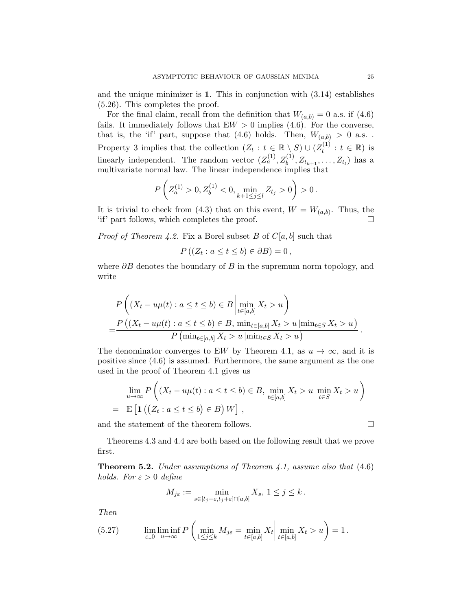and the unique minimizer is 1. This in conjunction with  $(3.14)$  establishes (5.26). This completes the proof.

For the final claim, recall from the definition that  $W_{(a,b)} = 0$  a.s. if (4.6) fails. It immediately follows that  $EW > 0$  implies (4.6). For the converse, that is, the 'if' part, suppose that (4.6) holds. Then,  $W_{(a,b)} > 0$  a.s.. Property 3 implies that the collection  $(Z_t : t \in \mathbb{R} \setminus S) \cup (Z_t^{(1)}$  $t_t^{(1)}: t \in \mathbb{R}$ ) is linearly independent. The random vector  $(Z_a^{(1)}, Z_b^{(1)}, Z_{t_{k+1}}, \ldots, Z_{t_l})$  has a multivariate normal law. The linear independence implies that

$$
P\left(Z_a^{(1)} > 0, Z_b^{(1)} < 0, \min_{k+1 \le j \le l} Z_{t_j} > 0\right) > 0.
$$

It is trivial to check from (4.3) that on this event,  $W = W_{(a,b)}$ . Thus, the 'if' part follows, which completes the proof.

*Proof of Theorem 4.2.* Fix a Borel subset B of  $C[a, b]$  such that

$$
P((Z_t : a \le t \le b) \in \partial B) = 0,
$$

where  $\partial B$  denotes the boundary of B in the supremum norm topology, and write

$$
P\left((X_t - u\mu(t) : a \le t \le b) \in B \mid \min_{t \in [a,b]} X_t > u\right)
$$
  
= 
$$
\frac{P\left((X_t - u\mu(t) : a \le t \le b) \in B, \min_{t \in [a,b]} X_t > u \mid \min_{t \in S} X_t > u\right)}{P\left(\min_{t \in [a,b]} X_t > u \mid \min_{t \in S} X_t > u\right)}.
$$

The denominator converges to EW by Theorem 4.1, as  $u \to \infty$ , and it is positive since (4.6) is assumed. Furthermore, the same argument as the one used in the proof of Theorem 4.1 gives us

$$
\lim_{u \to \infty} P\left((X_t - u\mu(t) : a \le t \le b) \in B, \min_{t \in [a,b]} X_t > u \mid \min_{t \in S} X_t > u\right)
$$
  
= 
$$
E\left[\mathbf{1}\left(\left(Z_t : a \le t \le b\right) \in B\right) W\right],
$$

and the statement of the theorem follows.

Theorems 4.3 and 4.4 are both based on the following result that we prove first.

**Theorem 5.2.** Under assumptions of Theorem 4.1, assume also that  $(4.6)$ holds. For  $\varepsilon > 0$  define

$$
M_{j\varepsilon} := \min_{s \in [t_j - \varepsilon, t_j + \varepsilon] \cap [a, b]} X_s, \ 1 \le j \le k.
$$

Then

(5.27) 
$$
\lim_{\varepsilon \downarrow 0} \liminf_{u \to \infty} P\left(\min_{1 \le j \le k} M_{j\varepsilon} = \min_{t \in [a,b]} X_t \middle| \min_{t \in [a,b]} X_t > u\right) = 1.
$$

$$
\mathbf{r}^{\prime}
$$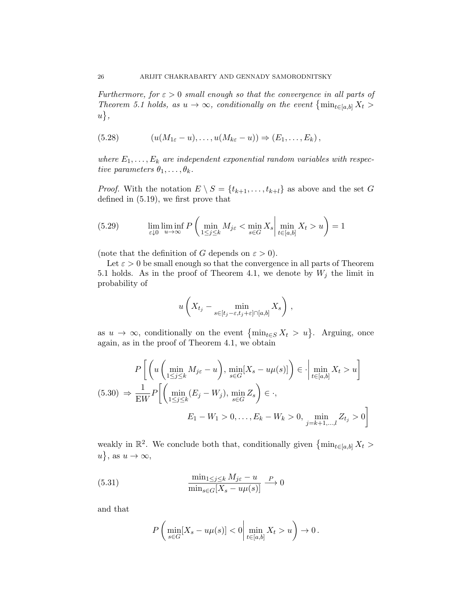Furthermore, for  $\varepsilon > 0$  small enough so that the convergence in all parts of Theorem 5.1 holds, as  $u \to \infty$ , conditionally on the event  $\{\min_{t \in [a,b]} X_t >$  $u\},\$ 

(5.28) 
$$
(u(M_{1\varepsilon}-u),\ldots,u(M_{k\varepsilon}-u)) \Rightarrow (E_1,\ldots,E_k),
$$

where  $E_1, \ldots, E_k$  are independent exponential random variables with respective parameters  $\theta_1, \ldots, \theta_k$ .

*Proof.* With the notation  $E \setminus S = \{t_{k+1}, \ldots, t_{k+l}\}\$ as above and the set G defined in (5.19), we first prove that

(5.29) 
$$
\lim_{\varepsilon \downarrow 0} \liminf_{u \to \infty} P\left(\min_{1 \le j \le k} M_{j\varepsilon} < \min_{s \in G} X_s \middle| \min_{t \in [a,b]} X_t > u\right) = 1
$$

(note that the definition of G depends on  $\varepsilon > 0$ ).

Let  $\varepsilon > 0$  be small enough so that the convergence in all parts of Theorem 5.1 holds. As in the proof of Theorem 4.1, we denote by  $W_j$  the limit in probability of

$$
u\left(X_{t_j} - \min_{s \in [t_j - \varepsilon, t_j + \varepsilon] \cap [a,b]} X_s\right),
$$

as  $u \to \infty$ , conditionally on the event  $\{\min_{t \in S} X_t > u\}$ . Arguing, once again, as in the proof of Theorem 4.1, we obtain

$$
P\left[\left(u\left(\min_{1\leq j\leq k}M_{j\varepsilon}-u\right),\min_{s\in G}[X_s-u\mu(s)]\right)\in\cdot\middle|\min_{t\in[a,b]}X_t>u\right]
$$
  
(5.30) 
$$
\Rightarrow \frac{1}{\text{EW}}P\left[\left(\min_{1\leq j\leq k}(E_j-W_j),\min_{s\in G}Z_s\right)\in\cdot, \qquad E_1-W_1>0,\ldots,E_k-W_k>0,\min_{j=k+1,\ldots,l}Z_{t_j}>0\right]
$$

weakly in  $\mathbb{R}^2$ . We conclude both that, conditionally given  $\{\min_{t\in[a,b]} X_t >$  $u$ , as  $u \to \infty$ ,

(5.31) 
$$
\frac{\min_{1 \le j \le k} M_{j\varepsilon} - u}{\min_{s \in G} [X_s - u\mu(s)]} \xrightarrow{P} 0
$$

and that

$$
P\left(\min_{s\in G}[X_s - u\mu(s)] < 0 \middle| \min_{t\in[a,b]} X_t > u\right) \to 0.
$$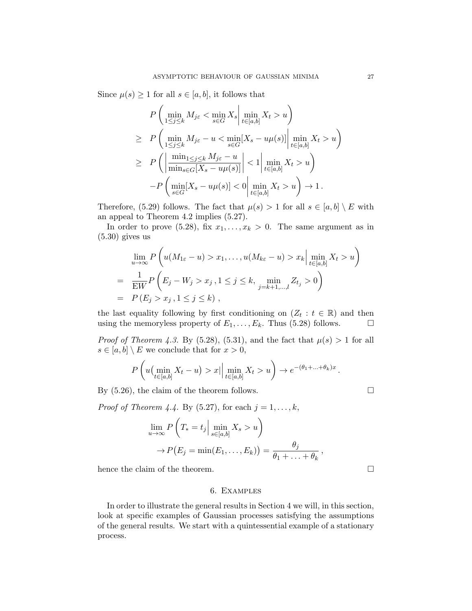Since  $\mu(s) \geq 1$  for all  $s \in [a, b]$ , it follows that

$$
P\left(\min_{1\leq j\leq k} M_{j\epsilon} < \min_{s\in G} X_s \middle| \min_{t\in[a,b]} X_t > u\right)
$$
\n
$$
\geq P\left(\min_{1\leq j\leq k} M_{j\epsilon} - u < \min_{s\in G} [X_s - u\mu(s)] \middle| \min_{t\in[a,b]} X_t > u\right)
$$
\n
$$
\geq P\left(\left|\frac{\min_{1\leq j\leq k} M_{j\epsilon} - u}{\min_{s\in G} [X_s - u\mu(s)]}\right| < 1 \middle| \min_{t\in[a,b]} X_t > u\right)
$$
\n
$$
-P\left(\min_{s\in G} [X_s - u\mu(s)] < 0 \middle| \min_{t\in[a,b]} X_t > u\right) \to 1.
$$

Therefore, (5.29) follows. The fact that  $\mu(s) > 1$  for all  $s \in [a, b] \setminus E$  with an appeal to Theorem 4.2 implies (5.27).

In order to prove (5.28), fix  $x_1, \ldots, x_k > 0$ . The same argument as in (5.30) gives us

$$
\lim_{u \to \infty} P\left(u(M_{1\varepsilon} - u) > x_1, ..., u(M_{k\varepsilon} - u) > x_k \Big| \min_{t \in [a, b]} X_t > u\right)
$$
  
= 
$$
\frac{1}{\text{EW}} P\left(E_j - W_j > x_j, 1 \le j \le k, \min_{j = k+1, ..., l} Z_{t_j} > 0\right)
$$
  
= 
$$
P(E_j > x_j, 1 \le j \le k),
$$

the last equality following by first conditioning on  $(Z_t : t \in \mathbb{R})$  and then using the memoryless property of  $E_1, \ldots, E_k$ . Thus (5.28) follows.  $\Box$ 

*Proof of Theorem 4.3.* By (5.28), (5.31), and the fact that  $\mu(s) > 1$  for all  $s \in [a, b] \setminus E$  we conclude that for  $x > 0$ ,

$$
P\left(u\left(\min_{t\in[a,b]}X_t-u\right)>x\big|\bigg|\min_{t\in[a,b]}X_t>u\right)\to e^{-(\theta_1+\ldots+\theta_k)x}.
$$

By  $(5.26)$ , the claim of the theorem follows.

*Proof of Theorem 4.4.* By (5.27), for each  $j = 1, \ldots, k$ ,

$$
\lim_{u \to \infty} P\left(T_* = t_j \Big| \min_{s \in [a,b]} X_s > u\right)
$$

$$
\to P(E_j = \min(E_1, \dots, E_k)) = \frac{\theta_j}{\theta_1 + \dots + \theta_k},
$$

hence the claim of the theorem.  $\Box$ 

#### 6. Examples

In order to illustrate the general results in Section 4 we will, in this section, look at specific examples of Gaussian processes satisfying the assumptions of the general results. We start with a quintessential example of a stationary process.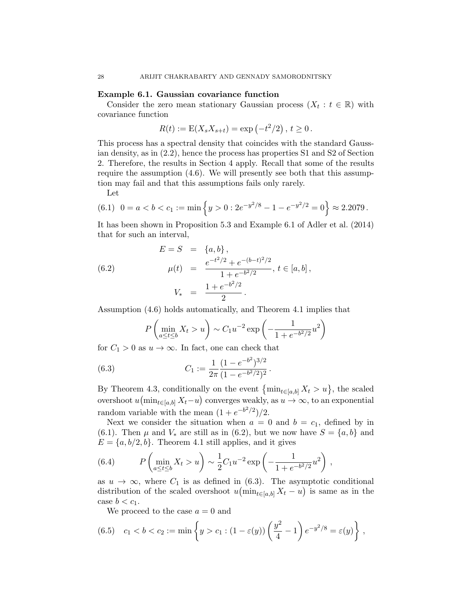## Example 6.1. Gaussian covariance function

Consider the zero mean stationary Gaussian process  $(X_t : t \in \mathbb{R})$  with covariance function

$$
R(t) := \mathcal{E}(X_s X_{s+t}) = \exp(-t^2/2), t \ge 0.
$$

This process has a spectral density that coincides with the standard Gaussian density, as in (2.2), hence the process has properties S1 and S2 of Section 2. Therefore, the results in Section 4 apply. Recall that some of the results require the assumption (4.6). We will presently see both that this assumption may fail and that this assumptions fails only rarely.

Let

$$
(6.1) \ \ 0 = a < b < c_1 := \min\left\{ y > 0 : 2e^{-y^2/8} - 1 - e^{-y^2/2} = 0 \right\} \approx 2.2079 \, .
$$

It has been shown in Proposition 5.3 and Example 6.1 of Adler et al. (2014) that for such an interval,

(6.2) 
$$
E = S = \{a, b\},
$$

$$
\mu(t) = \frac{e^{-t^2/2} + e^{-(b-t)^2/2}}{1 + e^{-b^2/2}}, t \in [a, b],
$$

$$
V_* = \frac{1 + e^{-b^2/2}}{2}.
$$

Assumption (4.6) holds automatically, and Theorem 4.1 implies that

$$
P\left(\min_{a\leq t\leq b} X_t > u\right) \sim C_1 u^{-2} \exp\left(-\frac{1}{1 + e^{-b^2/2}} u^2\right)
$$

for  $C_1 > 0$  as  $u \to \infty$ . In fact, one can check that

(6.3) 
$$
C_1 := \frac{1}{2\pi} \frac{(1 - e^{-b^2})^{3/2}}{(1 - e^{-b^2/2})^2}.
$$

By Theorem 4.3, conditionally on the event  $\{\min_{t\in[a,b]} X_t > u\}$ , the scaled overshoot  $u(\min_{t\in[a,b]} X_t-u)$  converges weakly, as  $u\to\infty$ , to an exponential random variable with the mean  $(1 + e^{-b^2/2})/2$ .

Next we consider the situation when  $a = 0$  and  $b = c_1$ , defined by in (6.1). Then  $\mu$  and  $V_*$  are still as in (6.2), but we now have  $S = \{a, b\}$  and  $E = \{a, b/2, b\}$ . Theorem 4.1 still applies, and it gives

(6.4) 
$$
P\left(\min_{a\leq t\leq b} X_t > u\right) \sim \frac{1}{2}C_1u^{-2}\exp\left(-\frac{1}{1+e^{-b^2/2}}u^2\right),
$$

as  $u \to \infty$ , where  $C_1$  is as defined in (6.3). The asymptotic conditional distribution of the scaled overshoot  $u(\min_{t\in[a,b]} X_t - u)$  is same as in the case  $b < c_1$ .

We proceed to the case  $a = 0$  and

(6.5) 
$$
c_1 < b < c_2 := \min \left\{ y > c_1 : (1 - \varepsilon(y)) \left( \frac{y^2}{4} - 1 \right) e^{-y^2/8} = \varepsilon(y) \right\},
$$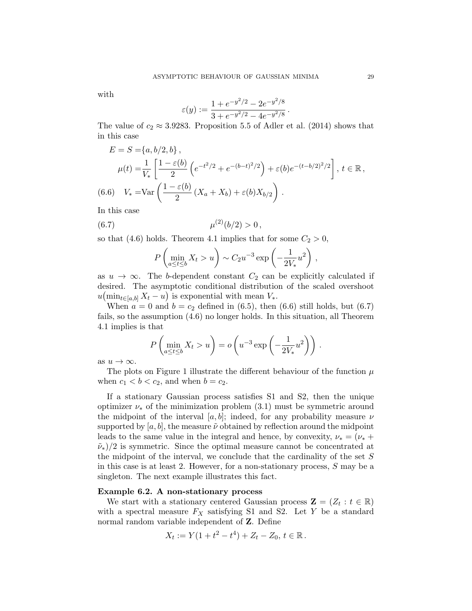with

$$
\varepsilon(y) := \frac{1 + e^{-y^2/2} - 2e^{-y^2/8}}{3 + e^{-y^2/2} - 4e^{-y^2/8}}.
$$

The value of  $c_2 \approx 3.9283$ . Proposition 5.5 of Adler et al. (2014) shows that in this case

$$
E = S = \{a, b/2, b\},
$$
  
\n
$$
\mu(t) = \frac{1}{V_*} \left[ \frac{1 - \varepsilon(b)}{2} \left( e^{-t^2/2} + e^{-(b-t)^2/2} \right) + \varepsilon(b) e^{-(t-b/2)^2/2} \right], \ t \in \mathbb{R},
$$
  
\n(6.6) 
$$
V_* = \text{Var} \left( \frac{1 - \varepsilon(b)}{2} (X_a + X_b) + \varepsilon(b) X_{b/2} \right).
$$

In this case

(6.7) 
$$
\mu^{(2)}(b/2) > 0,
$$

so that (4.6) holds. Theorem 4.1 implies that for some  $C_2 > 0$ ,

$$
P\left(\min_{a\leq t\leq b} X_t > u\right) \sim C_2 u^{-3} \exp\left(-\frac{1}{2V_*}u^2\right),
$$

as  $u \to \infty$ . The b-dependent constant  $C_2$  can be explicitly calculated if desired. The asymptotic conditional distribution of the scaled overshoot  $u(\min_{t\in[a,b]} X_t - u)$  is exponential with mean  $V_*$ .

When  $a = 0$  and  $b = c_2$  defined in (6.5), then (6.6) still holds, but (6.7) fails, so the assumption (4.6) no longer holds. In this situation, all Theorem 4.1 implies is that

$$
P\left(\min_{a\leq t\leq b} X_t > u\right) = o\left(u^{-3} \exp\left(-\frac{1}{2V_*}u^2\right)\right).
$$

as  $u \to \infty$ .

The plots on Figure 1 illustrate the different behaviour of the function  $\mu$ when  $c_1 < b < c_2$ , and when  $b = c_2$ .

If a stationary Gaussian process satisfies S1 and S2, then the unique optimizer  $\nu_*$  of the minimization problem (3.1) must be symmetric around the midpoint of the interval [a, b]; indeed, for any probability measure  $\nu$ supported by  $[a, b]$ , the measure  $\tilde{\nu}$  obtained by reflection around the midpoint leads to the same value in the integral and hence, by convexity,  $\nu_* = (\nu_* +$  $(\tilde{\nu}_*)/2$  is symmetric. Since the optimal measure cannot be concentrated at the midpoint of the interval, we conclude that the cardinality of the set S in this case is at least 2. However, for a non-stationary process, S may be a singleton. The next example illustrates this fact.

## Example 6.2. A non-stationary process

We start with a stationary centered Gaussian process  $\mathbf{Z} = (Z_t : t \in \mathbb{R})$ with a spectral measure  $F_X$  satisfying S1 and S2. Let Y be a standard normal random variable independent of Z. Define

$$
X_t := Y(1 + t^2 - t^4) + Z_t - Z_0, t \in \mathbb{R}.
$$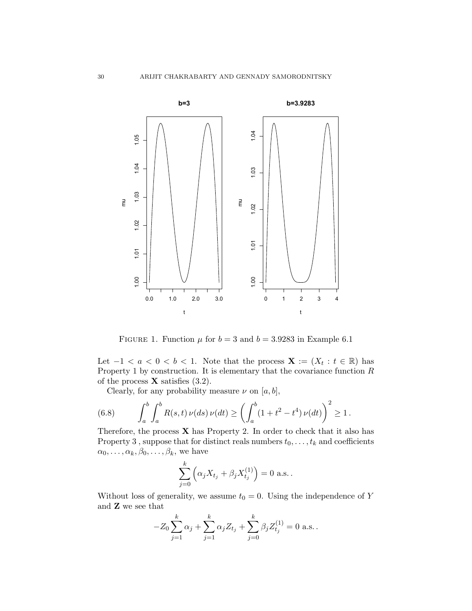

FIGURE 1. Function  $\mu$  for  $b = 3$  and  $b = 3.9283$  in Example 6.1

Let  $-1 < a < 0 < b < 1$ . Note that the process  $\mathbf{X} := (X_t : t \in \mathbb{R})$  has Property 1 by construction. It is elementary that the covariance function  $R$ of the process  $X$  satisfies  $(3.2)$ .

Clearly, for any probability measure  $\nu$  on  $[a, b]$ ,

(6.8) 
$$
\int_a^b \int_a^b R(s,t) \nu(ds) \nu(dt) \ge \left( \int_a^b (1+t^2 - t^4) \nu(dt) \right)^2 \ge 1.
$$

Therefore, the process  $X$  has Property 2. In order to check that it also has Property 3, suppose that for distinct reals numbers  $t_0, \ldots, t_k$  and coefficients  $\alpha_0, \ldots, \alpha_k, \beta_0, \ldots, \beta_k$ , we have

$$
\sum_{j=0}^{k} \left( \alpha_j X_{t_j} + \beta_j X_{t_j}^{(1)} \right) = 0 \text{ a.s.}.
$$

Without loss of generality, we assume  $t_0 = 0$ . Using the independence of Y and Z we see that

$$
-Z_0 \sum_{j=1}^k \alpha_j + \sum_{j=1}^k \alpha_j Z_{t_j} + \sum_{j=0}^k \beta_j Z_{t_j}^{(1)} = 0 \text{ a.s.}.
$$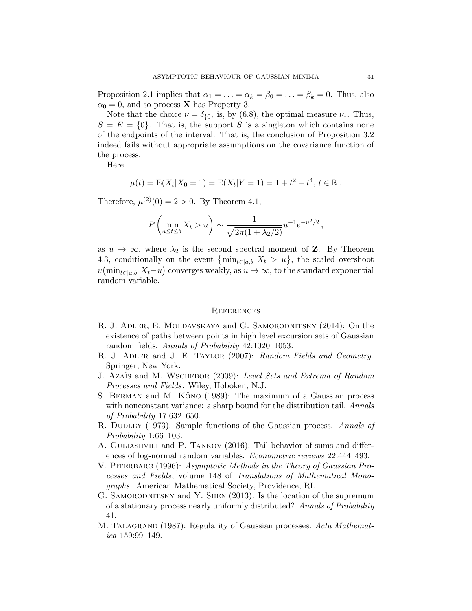Proposition 2.1 implies that  $\alpha_1 = \ldots = \alpha_k = \beta_0 = \ldots = \beta_k = 0$ . Thus, also  $\alpha_0 = 0$ , and so process **X** has Property 3.

Note that the choice  $\nu = \delta_{\{0\}}$  is, by (6.8), the optimal measure  $\nu_*$ . Thus,  $S = E = \{0\}$ . That is, the support S is a singleton which contains none of the endpoints of the interval. That is, the conclusion of Proposition 3.2 indeed fails without appropriate assumptions on the covariance function of the process.

Here

$$
\mu(t) = \mathbb{E}(X_t | X_0 = 1) = \mathbb{E}(X_t | Y = 1) = 1 + t^2 - t^4, t \in \mathbb{R}.
$$

Therefore,  $\mu^{(2)}(0) = 2 > 0$ . By Theorem 4.1,

$$
P\left(\min_{a\leq t\leq b} X_t > u\right) \sim \frac{1}{\sqrt{2\pi(1 + \lambda_2/2)}} u^{-1} e^{-u^2/2},
$$

as  $u \to \infty$ , where  $\lambda_2$  is the second spectral moment of **Z**. By Theorem 4.3, conditionally on the event  $\{\min_{t\in[a,b]} X_t > u\}$ , the scaled overshoot  $u(\min_{t\in[a,b]} X_t-u)$  converges weakly, as  $u\to\infty$ , to the standard exponential random variable.

#### **REFERENCES**

- R. J. ADLER, E. MOLDAVSKAYA and G. SAMORODNITSKY (2014): On the existence of paths between points in high level excursion sets of Gaussian random fields. Annals of Probability 42:1020–1053.
- R. J. ADLER and J. E. TAYLOR (2007): Random Fields and Geometry. Springer, New York.
- J. Azaïs and M. WSCHEBOR (2009): Level Sets and Extrema of Random Processes and Fields. Wiley, Hoboken, N.J.
- S. BERMAN and M. KÔNO (1989): The maximum of a Gaussian process with nonconstant variance: a sharp bound for the distribution tail. Annals of Probability 17:632–650.
- R. DUDLEY (1973): Sample functions of the Gaussian process. Annals of Probability 1:66–103.
- A. Guliashvili and P. Tankov (2016): Tail behavior of sums and differences of log-normal random variables. Econometric reviews 22:444–493.
- V. PITERBARG (1996): Asymptotic Methods in the Theory of Gaussian Processes and Fields, volume 148 of Translations of Mathematical Monographs. American Mathematical Society, Providence, RI.
- G. SAMORODNITSKY and Y. SHEN (2013): Is the location of the supremum of a stationary process nearly uniformly distributed? Annals of Probability 41.
- M. TALAGRAND (1987): Regularity of Gaussian processes. Acta Mathematica 159:99–149.